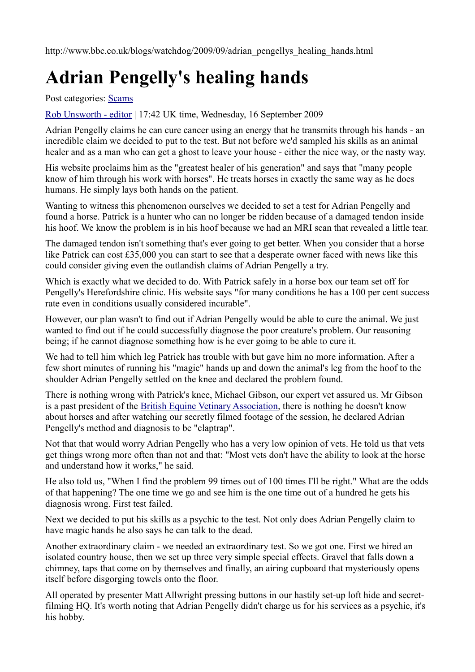http://www.bbc.co.uk/blogs/watchdog/2009/09/adrian\_pengellys\_healing\_hands.html

# **Adrian Pengelly's healing hands**

Post categories: [Scams](https://web.archive.org/web/20120418105018/http://www.bbc.co.uk/blogs/watchdog/scams/)

[Rob Unsworth - editor](https://web.archive.org/web/20120418105018/http://www.bbc.co.uk/blogs/watchdog/rob_unsworth_editor/) | 17:42 UK time, Wednesday, 16 September 2009

Adrian Pengelly claims he can cure cancer using an energy that he transmits through his hands - an incredible claim we decided to put to the test. But not before we'd sampled his skills as an animal healer and as a man who can get a ghost to leave your house - either the nice way, or the nasty way.

His website proclaims him as the "greatest healer of his generation" and says that "many people know of him through his work with horses". He treats horses in exactly the same way as he does humans. He simply lays both hands on the patient.

Wanting to witness this phenomenon ourselves we decided to set a test for Adrian Pengelly and found a horse. Patrick is a hunter who can no longer be ridden because of a damaged tendon inside his hoof. We know the problem is in his hoof because we had an MRI scan that revealed a little tear.

The damaged tendon isn't something that's ever going to get better. When you consider that a horse like Patrick can cost £35,000 you can start to see that a desperate owner faced with news like this could consider giving even the outlandish claims of Adrian Pengelly a try.

Which is exactly what we decided to do. With Patrick safely in a horse box our team set off for Pengelly's Herefordshire clinic. His website says "for many conditions he has a 100 per cent success rate even in conditions usually considered incurable".

However, our plan wasn't to find out if Adrian Pengelly would be able to cure the animal. We just wanted to find out if he could successfully diagnose the poor creature's problem. Our reasoning being; if he cannot diagnose something how is he ever going to be able to cure it.

We had to tell him which leg Patrick has trouble with but gave him no more information. After a few short minutes of running his "magic" hands up and down the animal's leg from the hoof to the shoulder Adrian Pengelly settled on the knee and declared the problem found.

There is nothing wrong with Patrick's knee, Michael Gibson, our expert vet assured us. Mr Gibson is a past president of the [British Equine Vetinary Association,](https://web.archive.org/web/20120418105018/http://www.beva.org.uk/home) there is nothing he doesn't know about horses and after watching our secretly filmed footage of the session, he declared Adrian Pengelly's method and diagnosis to be "claptrap".

Not that that would worry Adrian Pengelly who has a very low opinion of vets. He told us that vets get things wrong more often than not and that: "Most vets don't have the ability to look at the horse and understand how it works," he said.

He also told us, "When I find the problem 99 times out of 100 times I'll be right." What are the odds of that happening? The one time we go and see him is the one time out of a hundred he gets his diagnosis wrong. First test failed.

Next we decided to put his skills as a psychic to the test. Not only does Adrian Pengelly claim to have magic hands he also says he can talk to the dead.

Another extraordinary claim - we needed an extraordinary test. So we got one. First we hired an isolated country house, then we set up three very simple special effects. Gravel that falls down a chimney, taps that come on by themselves and finally, an airing cupboard that mysteriously opens itself before disgorging towels onto the floor.

All operated by presenter Matt Allwright pressing buttons in our hastily set-up loft hide and secretfilming HQ. It's worth noting that Adrian Pengelly didn't charge us for his services as a psychic, it's his hobby.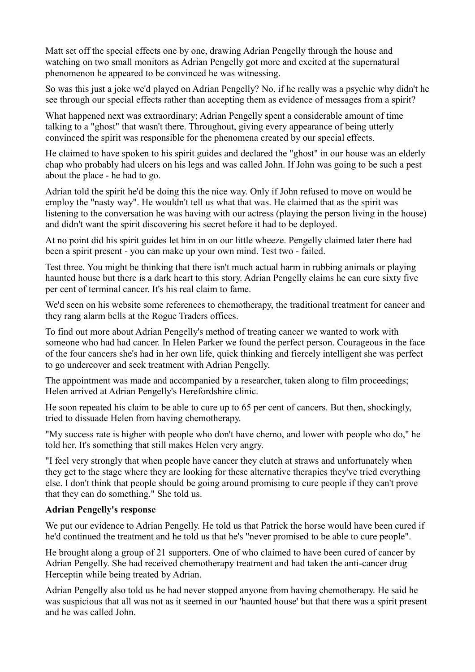Matt set off the special effects one by one, drawing Adrian Pengelly through the house and watching on two small monitors as Adrian Pengelly got more and excited at the supernatural phenomenon he appeared to be convinced he was witnessing.

So was this just a joke we'd played on Adrian Pengelly? No, if he really was a psychic why didn't he see through our special effects rather than accepting them as evidence of messages from a spirit?

What happened next was extraordinary; Adrian Pengelly spent a considerable amount of time talking to a "ghost" that wasn't there. Throughout, giving every appearance of being utterly convinced the spirit was responsible for the phenomena created by our special effects.

He claimed to have spoken to his spirit guides and declared the "ghost" in our house was an elderly chap who probably had ulcers on his legs and was called John. If John was going to be such a pest about the place - he had to go.

Adrian told the spirit he'd be doing this the nice way. Only if John refused to move on would he employ the "nasty way". He wouldn't tell us what that was. He claimed that as the spirit was listening to the conversation he was having with our actress (playing the person living in the house) and didn't want the spirit discovering his secret before it had to be deployed.

At no point did his spirit guides let him in on our little wheeze. Pengelly claimed later there had been a spirit present - you can make up your own mind. Test two - failed.

Test three. You might be thinking that there isn't much actual harm in rubbing animals or playing haunted house but there is a dark heart to this story. Adrian Pengelly claims he can cure sixty five per cent of terminal cancer. It's his real claim to fame.

We'd seen on his website some references to chemotherapy, the traditional treatment for cancer and they rang alarm bells at the Rogue Traders offices.

To find out more about Adrian Pengelly's method of treating cancer we wanted to work with someone who had had cancer. In Helen Parker we found the perfect person. Courageous in the face of the four cancers she's had in her own life, quick thinking and fiercely intelligent she was perfect to go undercover and seek treatment with Adrian Pengelly.

The appointment was made and accompanied by a researcher, taken along to film proceedings; Helen arrived at Adrian Pengelly's Herefordshire clinic.

He soon repeated his claim to be able to cure up to 65 per cent of cancers. But then, shockingly, tried to dissuade Helen from having chemotherapy.

"My success rate is higher with people who don't have chemo, and lower with people who do," he told her. It's something that still makes Helen very angry.

"I feel very strongly that when people have cancer they clutch at straws and unfortunately when they get to the stage where they are looking for these alternative therapies they've tried everything else. I don't think that people should be going around promising to cure people if they can't prove that they can do something." She told us.

#### **Adrian Pengelly's response**

We put our evidence to Adrian Pengelly. He told us that Patrick the horse would have been cured if he'd continued the treatment and he told us that he's "never promised to be able to cure people".

He brought along a group of 21 supporters. One of who claimed to have been cured of cancer by Adrian Pengelly. She had received chemotherapy treatment and had taken the anti-cancer drug Herceptin while being treated by Adrian.

Adrian Pengelly also told us he had never stopped anyone from having chemotherapy. He said he was suspicious that all was not as it seemed in our 'haunted house' but that there was a spirit present and he was called John.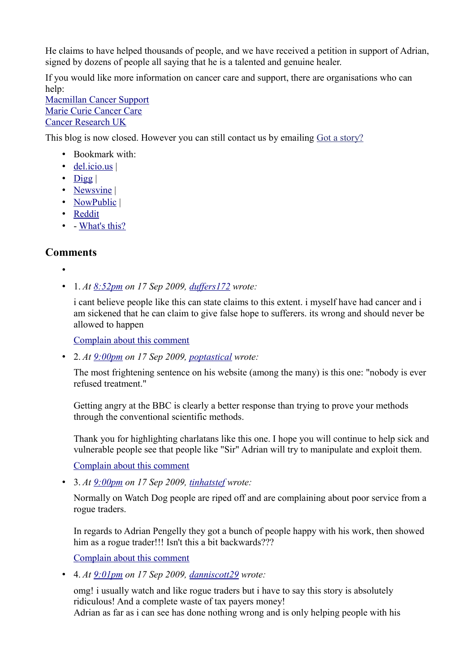He claims to have helped thousands of people, and we have received a petition in support of Adrian, signed by dozens of people all saying that he is a talented and genuine healer.

If you would like more information on cancer care and support, there are organisations who can help:

[Macmillan Cancer Support](https://web.archive.org/web/20120418105018/http://www.macmillan.org.uk/) [Marie Curie Cancer Care](https://web.archive.org/web/20120418105018/http://www.mariecurie.org.uk/) [Cancer Research UK](https://web.archive.org/web/20120418105018/http://www.cancerresearchuk.org/)

This blog is now closed. However you can still contact us by emailing [Got a story?](https://web.archive.org/web/20120418105018/http://www.bbc.co.uk/watchdog/gotastory/)

- Bookmark with:
- [del.icio.us](https://web.archive.org/web/20120418105018/http://del.icio.us/post?url=http://www.bbc.co.uk/blogs/watchdog/2009/09/adrian_pengellys_healing_hands.html&title=Adrian%20Pengelly) |
- $\bullet$  Digg
- Newsvine
- [NowPublic](https://web.archive.org/web/20120418105018/http://view.nowpublic.com/?src=http://www.bbc.co.uk/blogs/watchdog/2009/09/adrian_pengellys_healing_hands.html) |
- [Reddit](https://web.archive.org/web/20120418105018/http://reddit.com/submit?url=http://www.bbc.co.uk/blogs/watchdog/2009/09/adrian_pengellys_healing_hands.html&title=Adrian%20Pengelly)
- - [What's this?](https://web.archive.org/web/20120418105018/http://www.bbc.co.uk/blogs/podsandblogs/2007/04/social_bookmarks_explained.shtml)

# **Comments**

- •
- 1. *At [8:52pm](https://web.archive.org/web/20120418105018/http://www.bbc.co.uk/blogs/watchdog/2009/09/adrian_pengellys_healing_hands.html#P85884246) on 17 Sep 2009, [duffers172](https://web.archive.org/web/20120418105018/http://www.bbc.co.uk/blogs/profile?userid=14139443) wrote:*

i cant believe people like this can state claims to this extent. i myself have had cancer and i am sickened that he can claim to give false hope to sufferers. its wrong and should never be allowed to happen

[Complain about this comment](https://web.archive.org/web/20120418105018/http://www.bbc.co.uk/dna/blog191/comments/UserComplaintPage?PostID=85884246&s_start=1)

• 2. *At [9:00pm](https://web.archive.org/web/20120418105018/http://www.bbc.co.uk/blogs/watchdog/2009/09/adrian_pengellys_healing_hands.html#P85884724) on 17 Sep 2009, [poptastical](https://web.archive.org/web/20120418105018/http://www.bbc.co.uk/blogs/profile?userid=14139451) wrote:*

The most frightening sentence on his website (among the many) is this one: "nobody is ever refused treatment."

Getting angry at the BBC is clearly a better response than trying to prove your methods through the conventional scientific methods.

Thank you for highlighting charlatans like this one. I hope you will continue to help sick and vulnerable people see that people like "Sir" Adrian will try to manipulate and exploit them.

[Complain about this comment](https://web.archive.org/web/20120418105018/http://www.bbc.co.uk/dna/blog191/comments/UserComplaintPage?PostID=85884724&s_start=1)

• 3. *At [9:00pm](https://web.archive.org/web/20120418105018/http://www.bbc.co.uk/blogs/watchdog/2009/09/adrian_pengellys_healing_hands.html#P85884727) on 17 Sep 2009, [tinhatstef](https://web.archive.org/web/20120418105018/http://www.bbc.co.uk/blogs/profile?userid=14139449) wrote:*

Normally on Watch Dog people are riped off and are complaining about poor service from a rogue traders.

In regards to Adrian Pengelly they got a bunch of people happy with his work, then showed him as a rogue trader!!! Isn't this a bit backwards???

[Complain about this comment](https://web.archive.org/web/20120418105018/http://www.bbc.co.uk/dna/blog191/comments/UserComplaintPage?PostID=85884727&s_start=1)

• 4. *At [9:01pm](https://web.archive.org/web/20120418105018/http://www.bbc.co.uk/blogs/watchdog/2009/09/adrian_pengellys_healing_hands.html#P85884777) on 17 Sep 2009, [danniscott29](https://web.archive.org/web/20120418105018/http://www.bbc.co.uk/blogs/profile?userid=14139450) wrote:*

omg! i usually watch and like rogue traders but i have to say this story is absolutely ridiculous! And a complete waste of tax payers money!

Adrian as far as i can see has done nothing wrong and is only helping people with his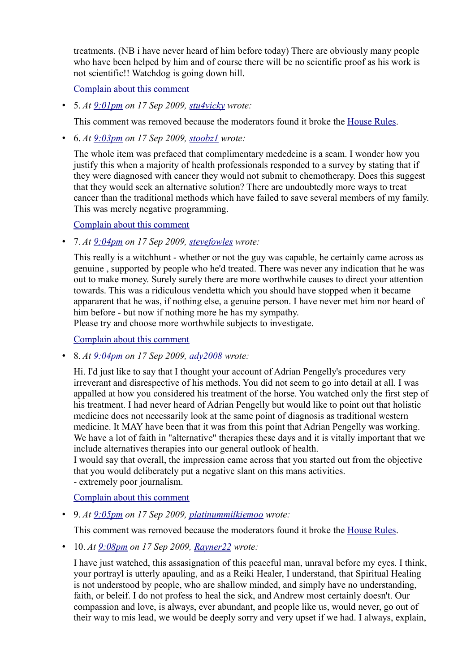treatments. (NB i have never heard of him before today) There are obviously many people who have been helped by him and of course there will be no scientific proof as his work is not scientific!! Watchdog is going down hill.

[Complain about this comment](https://web.archive.org/web/20120418105018/http://www.bbc.co.uk/dna/blog191/comments/UserComplaintPage?PostID=85884777&s_start=1)

• 5. *At [9:01pm](https://web.archive.org/web/20120418105018/http://www.bbc.co.uk/blogs/watchdog/2009/09/adrian_pengellys_healing_hands.html#P85884792) on 17 Sep 2009, [stu4vicky](https://web.archive.org/web/20120418105018/http://www.bbc.co.uk/blogs/profile?userid=14139437) wrote:*

This comment was removed because the moderators found it broke the [House Rules.](https://web.archive.org/web/20120418105018/http://www.bbc.co.uk/messageboards/newguide/popup_house_rules.html)

• 6. *At [9:03pm](https://web.archive.org/web/20120418105018/http://www.bbc.co.uk/blogs/watchdog/2009/09/adrian_pengellys_healing_hands.html#P85884934) on 17 Sep 2009, [stoobz1](https://web.archive.org/web/20120418105018/http://www.bbc.co.uk/blogs/profile?userid=14139458) wrote:*

The whole item was prefaced that complimentary mededcine is a scam. I wonder how you justify this when a majority of health professionals responded to a survey by stating that if they were diagnosed with cancer they would not submit to chemotherapy. Does this suggest that they would seek an alternative solution? There are undoubtedly more ways to treat cancer than the traditional methods which have failed to save several members of my family. This was merely negative programming.

[Complain about this comment](https://web.archive.org/web/20120418105018/http://www.bbc.co.uk/dna/blog191/comments/UserComplaintPage?PostID=85884934&s_start=1)

• 7. *At [9:04pm](https://web.archive.org/web/20120418105018/http://www.bbc.co.uk/blogs/watchdog/2009/09/adrian_pengellys_healing_hands.html#P85884938) on 17 Sep 2009, [stevefowles](https://web.archive.org/web/20120418105018/http://www.bbc.co.uk/blogs/profile?userid=14139456) wrote:*

This really is a witchhunt - whether or not the guy was capable, he certainly came across as genuine , supported by people who he'd treated. There was never any indication that he was out to make money. Surely surely there are more worthwhile causes to direct your attention towards. This was a ridiculous vendetta which you should have stopped when it became appararent that he was, if nothing else, a genuine person. I have never met him nor heard of him before - but now if nothing more he has my sympathy.

Please try and choose more worthwhile subjects to investigate.

[Complain about this comment](https://web.archive.org/web/20120418105018/http://www.bbc.co.uk/dna/blog191/comments/UserComplaintPage?PostID=85884938&s_start=1)

• 8. *At [9:04pm](https://web.archive.org/web/20120418105018/http://www.bbc.co.uk/blogs/watchdog/2009/09/adrian_pengellys_healing_hands.html#P85884956) on 17 Sep 2009, [ady2008](https://web.archive.org/web/20120418105018/http://www.bbc.co.uk/blogs/profile?userid=14139464) wrote:*

Hi. I'd just like to say that I thought your account of Adrian Pengelly's procedures very irreverant and disrespective of his methods. You did not seem to go into detail at all. I was appalled at how you considered his treatment of the horse. You watched only the first step of his treatment. I had never heard of Adrian Pengelly but would like to point out that holistic medicine does not necessarily look at the same point of diagnosis as traditional western medicine. It MAY have been that it was from this point that Adrian Pengelly was working. We have a lot of faith in "alternative" therapies these days and it is vitally important that we include alternatives therapies into our general outlook of health.

I would say that overall, the impression came across that you started out from the objective that you would deliberately put a negative slant on this mans activities. - extremely poor journalism.

[Complain about this comment](https://web.archive.org/web/20120418105018/http://www.bbc.co.uk/dna/blog191/comments/UserComplaintPage?PostID=85884956&s_start=1)

• 9. *At [9:05pm](https://web.archive.org/web/20120418105018/http://www.bbc.co.uk/blogs/watchdog/2009/09/adrian_pengellys_healing_hands.html#P85885014) on 17 Sep 2009, [platinummilkiemoo](https://web.archive.org/web/20120418105018/http://www.bbc.co.uk/blogs/profile?userid=14139469) wrote:*

This comment was removed because the moderators found it broke the [House Rules.](https://web.archive.org/web/20120418105018/http://www.bbc.co.uk/messageboards/newguide/popup_house_rules.html)

• 10. *At [9:08pm](https://web.archive.org/web/20120418105018/http://www.bbc.co.uk/blogs/watchdog/2009/09/adrian_pengellys_healing_hands.html#P85885161) on 17 Sep 2009, [Rayner22](https://web.archive.org/web/20120418105018/http://www.bbc.co.uk/blogs/profile?userid=14139463) wrote:*

I have just watched, this assasignation of this peaceful man, unraval before my eyes. I think, your portrayl is utterly apauling, and as a Reiki Healer, I understand, that Spiritual Healing is not understood by people, who are shallow minded, and simply have no understanding, faith, or beleif. I do not profess to heal the sick, and Andrew most certainly doesn't. Our compassion and love, is always, ever abundant, and people like us, would never, go out of their way to mis lead, we would be deeply sorry and very upset if we had. I always, explain,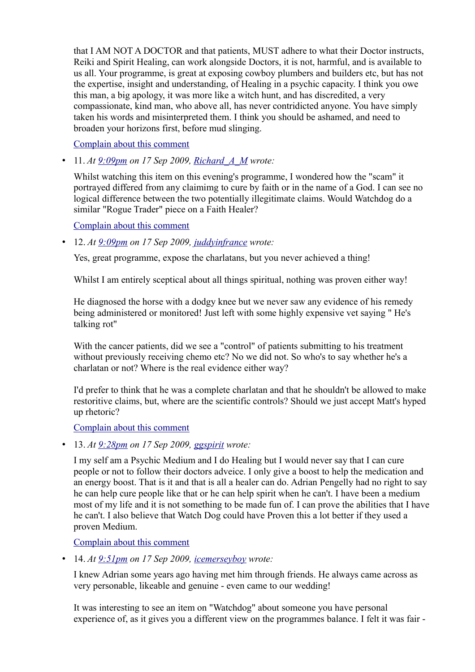that I AM NOT A DOCTOR and that patients, MUST adhere to what their Doctor instructs, Reiki and Spirit Healing, can work alongside Doctors, it is not, harmful, and is available to us all. Your programme, is great at exposing cowboy plumbers and builders etc, but has not the expertise, insight and understanding, of Healing in a psychic capacity. I think you owe this man, a big apology, it was more like a witch hunt, and has discredited, a very compassionate, kind man, who above all, has never contridicted anyone. You have simply taken his words and misinterpreted them. I think you should be ashamed, and need to broaden your horizons first, before mud slinging.

[Complain about this comment](https://web.archive.org/web/20120418105018/http://www.bbc.co.uk/dna/blog191/comments/UserComplaintPage?PostID=85885161&s_start=1)

• 11. *At [9:09pm](https://web.archive.org/web/20120418105018/http://www.bbc.co.uk/blogs/watchdog/2009/09/adrian_pengellys_healing_hands.html#P85885208) on 17 Sep 2009, [Richard\\_A\\_M](https://web.archive.org/web/20120418105018/http://www.bbc.co.uk/blogs/profile?userid=5809487) wrote:*

Whilst watching this item on this evening's programme, I wondered how the "scam" it portrayed differed from any claimimg to cure by faith or in the name of a God. I can see no logical difference between the two potentially illegitimate claims. Would Watchdog do a similar "Rogue Trader" piece on a Faith Healer?

[Complain about this comment](https://web.archive.org/web/20120418105018/http://www.bbc.co.uk/dna/blog191/comments/UserComplaintPage?PostID=85885208&s_start=1)

• 12. *At [9:09pm](https://web.archive.org/web/20120418105018/http://www.bbc.co.uk/blogs/watchdog/2009/09/adrian_pengellys_healing_hands.html#P85885249) on 17 Sep 2009, [juddyinfrance](https://web.archive.org/web/20120418105018/http://www.bbc.co.uk/blogs/profile?userid=14139467) wrote:*

Yes, great programme, expose the charlatans, but you never achieved a thing!

Whilst I am entirely sceptical about all things spiritual, nothing was proven either way!

He diagnosed the horse with a dodgy knee but we never saw any evidence of his remedy being administered or monitored! Just left with some highly expensive vet saying " He's talking rot"

With the cancer patients, did we see a "control" of patients submitting to his treatment without previously receiving chemo etc? No we did not. So who's to say whether he's a charlatan or not? Where is the real evidence either way?

I'd prefer to think that he was a complete charlatan and that he shouldn't be allowed to make restoritive claims, but, where are the scientific controls? Should we just accept Matt's hyped up rhetoric?

[Complain about this comment](https://web.archive.org/web/20120418105018/http://www.bbc.co.uk/dna/blog191/comments/UserComplaintPage?PostID=85885249&s_start=1)

• 13. *At [9:28pm](https://web.archive.org/web/20120418105018/http://www.bbc.co.uk/blogs/watchdog/2009/09/adrian_pengellys_healing_hands.html#P85886141) on 17 Sep 2009, [ggspirit](https://web.archive.org/web/20120418105018/http://www.bbc.co.uk/blogs/profile?userid=14139506) wrote:*

I my self am a Psychic Medium and I do Healing but I would never say that I can cure people or not to follow their doctors adveice. I only give a boost to help the medication and an energy boost. That is it and that is all a healer can do. Adrian Pengelly had no right to say he can help cure people like that or he can help spirit when he can't. I have been a medium most of my life and it is not something to be made fun of. I can prove the abilities that I have he can't. I also believe that Watch Dog could have Proven this a lot better if they used a proven Medium.

[Complain about this comment](https://web.archive.org/web/20120418105018/http://www.bbc.co.uk/dna/blog191/comments/UserComplaintPage?PostID=85886141&s_start=1)

• 14. *At [9:51pm](https://web.archive.org/web/20120418105018/http://www.bbc.co.uk/blogs/watchdog/2009/09/adrian_pengellys_healing_hands.html#P85887182) on 17 Sep 2009, [icemerseyboy](https://web.archive.org/web/20120418105018/http://www.bbc.co.uk/blogs/profile?userid=14139542) wrote:*

I knew Adrian some years ago having met him through friends. He always came across as very personable, likeable and genuine - even came to our wedding!

It was interesting to see an item on "Watchdog" about someone you have personal experience of, as it gives you a different view on the programmes balance. I felt it was fair -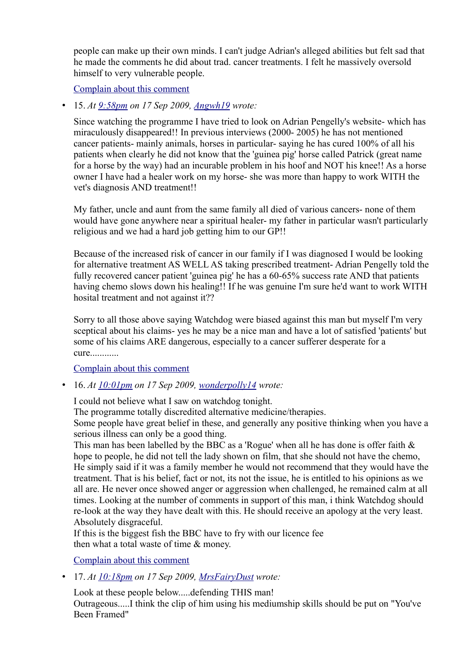people can make up their own minds. I can't judge Adrian's alleged abilities but felt sad that he made the comments he did about trad. cancer treatments. I felt he massively oversold himself to very vulnerable people.

[Complain about this comment](https://web.archive.org/web/20120418105018/http://www.bbc.co.uk/dna/blog191/comments/UserComplaintPage?PostID=85887182&s_start=1)

• 15. *At [9:58pm](https://web.archive.org/web/20120418105018/http://www.bbc.co.uk/blogs/watchdog/2009/09/adrian_pengellys_healing_hands.html#P85887533) on 17 Sep 2009, [Angwh19](https://web.archive.org/web/20120418105018/http://www.bbc.co.uk/blogs/profile?userid=14139555) wrote:*

Since watching the programme I have tried to look on Adrian Pengelly's website- which has miraculously disappeared!! In previous interviews (2000- 2005) he has not mentioned cancer patients- mainly animals, horses in particular- saying he has cured 100% of all his patients when clearly he did not know that the 'guinea pig' horse called Patrick (great name for a horse by the way) had an incurable problem in his hoof and NOT his knee!! As a horse owner I have had a healer work on my horse- she was more than happy to work WITH the vet's diagnosis AND treatment!!

My father, uncle and aunt from the same family all died of various cancers- none of them would have gone anywhere near a spiritual healer- my father in particular wasn't particularly religious and we had a hard job getting him to our GP!!

Because of the increased risk of cancer in our family if I was diagnosed I would be looking for alternative treatment AS WELL AS taking prescribed treatment- Adrian Pengelly told the fully recovered cancer patient 'guinea pig' he has a 60-65% success rate AND that patients having chemo slows down his healing!! If he was genuine I'm sure he'd want to work WITH hosital treatment and not against it??

Sorry to all those above saying Watchdog were biased against this man but myself I'm very sceptical about his claims- yes he may be a nice man and have a lot of satisfied 'patients' but some of his claims ARE dangerous, especially to a cancer sufferer desperate for a cure............

[Complain about this comment](https://web.archive.org/web/20120418105018/http://www.bbc.co.uk/dna/blog191/comments/UserComplaintPage?PostID=85887533&s_start=1)

• 16. *At [10:01pm](https://web.archive.org/web/20120418105018/http://www.bbc.co.uk/blogs/watchdog/2009/09/adrian_pengellys_healing_hands.html#P85887667) on 17 Sep 2009, [wonderpolly14](https://web.archive.org/web/20120418105018/http://www.bbc.co.uk/blogs/profile?userid=14139558) wrote:*

I could not believe what I saw on watchdog tonight.

The programme totally discredited alternative medicine/therapies.

Some people have great belief in these, and generally any positive thinking when you have a serious illness can only be a good thing.

This man has been labelled by the BBC as a 'Rogue' when all he has done is offer faith  $\&$ hope to people, he did not tell the lady shown on film, that she should not have the chemo, He simply said if it was a family member he would not recommend that they would have the treatment. That is his belief, fact or not, its not the issue, he is entitled to his opinions as we all are. He never once showed anger or aggression when challenged, he remained calm at all times. Looking at the number of comments in support of this man, i think Watchdog should re-look at the way they have dealt with this. He should receive an apology at the very least. Absolutely disgraceful.

If this is the biggest fish the BBC have to fry with our licence fee then what a total waste of time & money.

[Complain about this comment](https://web.archive.org/web/20120418105018/http://www.bbc.co.uk/dna/blog191/comments/UserComplaintPage?PostID=85887667&s_start=1)

• 17. *At [10:18pm](https://web.archive.org/web/20120418105018/http://www.bbc.co.uk/blogs/watchdog/2009/09/adrian_pengellys_healing_hands.html#P85888260) on 17 Sep 2009, [MrsFairyDust](https://web.archive.org/web/20120418105018/http://www.bbc.co.uk/blogs/profile?userid=14139581) wrote:*

Look at these people below.....defending THIS man! Outrageous.....I think the clip of him using his mediumship skills should be put on "You've Been Framed"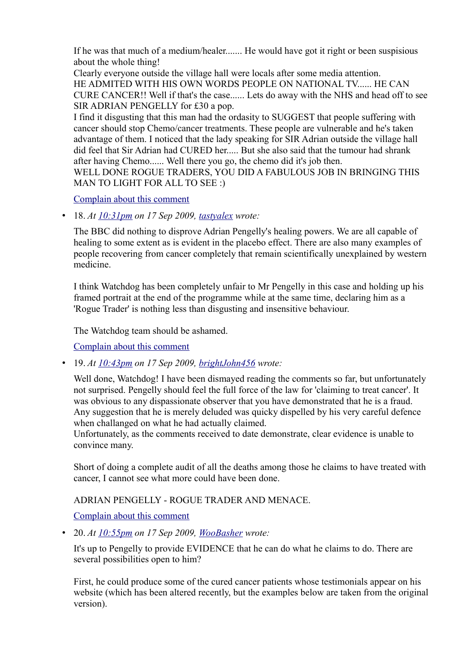If he was that much of a medium/healer....... He would have got it right or been suspisious about the whole thing!

Clearly everyone outside the village hall were locals after some media attention. HE ADMITED WITH HIS OWN WORDS PEOPLE ON NATIONAL TV...... HE CAN CURE CANCER!! Well if that's the case...... Lets do away with the NHS and head off to see SIR ADRIAN PENGELLY for £30 a pop.

I find it disgusting that this man had the ordasity to SUGGEST that people suffering with cancer should stop Chemo/cancer treatments. These people are vulnerable and he's taken advantage of them. I noticed that the lady speaking for SIR Adrian outside the village hall did feel that Sir Adrian had CURED her..... But she also said that the tumour had shrank after having Chemo...... Well there you go, the chemo did it's job then.

WELL DONE ROGUE TRADERS, YOU DID A FABULOUS JOB IN BRINGING THIS MAN TO LIGHT FOR ALL TO SEE :)

[Complain about this comment](https://web.archive.org/web/20120418105018/http://www.bbc.co.uk/dna/blog191/comments/UserComplaintPage?PostID=85888260&s_start=1)

• 18. *At [10:31pm](https://web.archive.org/web/20120418105018/http://www.bbc.co.uk/blogs/watchdog/2009/09/adrian_pengellys_healing_hands.html#P85888729) on 17 Sep 2009, [tastyalex](https://web.archive.org/web/20120418105018/http://www.bbc.co.uk/blogs/profile?userid=12296362) wrote:*

The BBC did nothing to disprove Adrian Pengelly's healing powers. We are all capable of healing to some extent as is evident in the placebo effect. There are also many examples of people recovering from cancer completely that remain scientifically unexplained by western medicine.

I think Watchdog has been completely unfair to Mr Pengelly in this case and holding up his framed portrait at the end of the programme while at the same time, declaring him as a 'Rogue Trader' is nothing less than disgusting and insensitive behaviour.

The Watchdog team should be ashamed.

[Complain about this comment](https://web.archive.org/web/20120418105018/http://www.bbc.co.uk/dna/blog191/comments/UserComplaintPage?PostID=85888729&s_start=1)

• 19. *At [10:43pm](https://web.archive.org/web/20120418105018/http://www.bbc.co.uk/blogs/watchdog/2009/09/adrian_pengellys_healing_hands.html#P85889158) on 17 Sep 2009, [brightJohn456](https://web.archive.org/web/20120418105018/http://www.bbc.co.uk/blogs/profile?userid=14139598) wrote:*

Well done, Watchdog! I have been dismayed reading the comments so far, but unfortunately not surprised. Pengelly should feel the full force of the law for 'claiming to treat cancer'. It was obvious to any dispassionate observer that you have demonstrated that he is a fraud. Any suggestion that he is merely deluded was quicky dispelled by his very careful defence when challanged on what he had actually claimed.

Unfortunately, as the comments received to date demonstrate, clear evidence is unable to convince many.

Short of doing a complete audit of all the deaths among those he claims to have treated with cancer, I cannot see what more could have been done.

ADRIAN PENGELLY - ROGUE TRADER AND MENACE.

[Complain about this comment](https://web.archive.org/web/20120418105018/http://www.bbc.co.uk/dna/blog191/comments/UserComplaintPage?PostID=85889158&s_start=1)

• 20. *At [10:55pm](https://web.archive.org/web/20120418105018/http://www.bbc.co.uk/blogs/watchdog/2009/09/adrian_pengellys_healing_hands.html#P85889571) on 17 Sep 2009, [WooBasher](https://web.archive.org/web/20120418105018/http://www.bbc.co.uk/blogs/profile?userid=14139612) wrote:*

It's up to Pengelly to provide EVIDENCE that he can do what he claims to do. There are several possibilities open to him?

First, he could produce some of the cured cancer patients whose testimonials appear on his website (which has been altered recently, but the examples below are taken from the original version).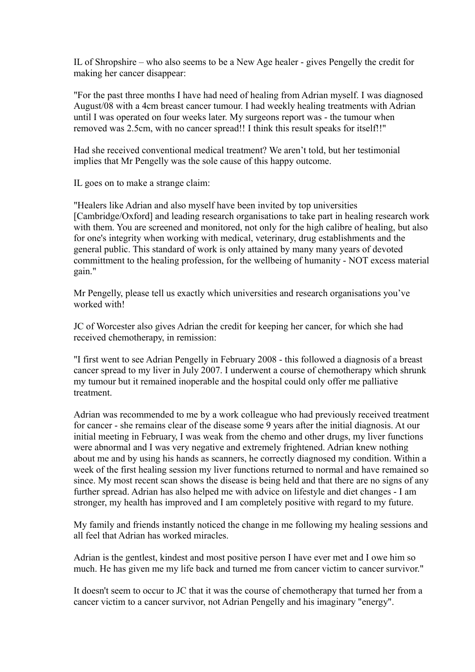IL of Shropshire – who also seems to be a New Age healer - gives Pengelly the credit for making her cancer disappear:

"For the past three months I have had need of healing from Adrian myself. I was diagnosed August/08 with a 4cm breast cancer tumour. I had weekly healing treatments with Adrian until I was operated on four weeks later. My surgeons report was - the tumour when removed was 2.5cm, with no cancer spread!! I think this result speaks for itself!!"

Had she received conventional medical treatment? We aren't told, but her testimonial implies that Mr Pengelly was the sole cause of this happy outcome.

IL goes on to make a strange claim:

"Healers like Adrian and also myself have been invited by top universities [Cambridge/Oxford] and leading research organisations to take part in healing research work with them. You are screened and monitored, not only for the high calibre of healing, but also for one's integrity when working with medical, veterinary, drug establishments and the general public. This standard of work is only attained by many many years of devoted committment to the healing profession, for the wellbeing of humanity - NOT excess material gain."

Mr Pengelly, please tell us exactly which universities and research organisations you've worked with!

JC of Worcester also gives Adrian the credit for keeping her cancer, for which she had received chemotherapy, in remission:

"I first went to see Adrian Pengelly in February 2008 - this followed a diagnosis of a breast cancer spread to my liver in July 2007. I underwent a course of chemotherapy which shrunk my tumour but it remained inoperable and the hospital could only offer me palliative treatment.

Adrian was recommended to me by a work colleague who had previously received treatment for cancer - she remains clear of the disease some 9 years after the initial diagnosis. At our initial meeting in February, I was weak from the chemo and other drugs, my liver functions were abnormal and I was very negative and extremely frightened. Adrian knew nothing about me and by using his hands as scanners, he correctly diagnosed my condition. Within a week of the first healing session my liver functions returned to normal and have remained so since. My most recent scan shows the disease is being held and that there are no signs of any further spread. Adrian has also helped me with advice on lifestyle and diet changes - I am stronger, my health has improved and I am completely positive with regard to my future.

My family and friends instantly noticed the change in me following my healing sessions and all feel that Adrian has worked miracles.

Adrian is the gentlest, kindest and most positive person I have ever met and I owe him so much. He has given me my life back and turned me from cancer victim to cancer survivor."

It doesn't seem to occur to JC that it was the course of chemotherapy that turned her from a cancer victim to a cancer survivor, not Adrian Pengelly and his imaginary "energy".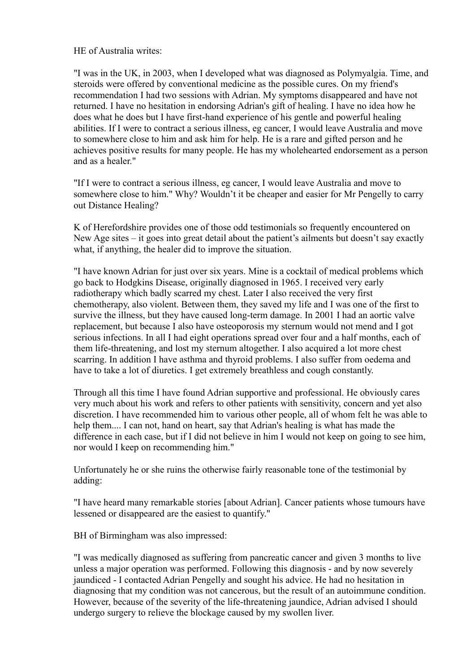HE of Australia writes:

"I was in the UK, in 2003, when I developed what was diagnosed as Polymyalgia. Time, and steroids were offered by conventional medicine as the possible cures. On my friend's recommendation I had two sessions with Adrian. My symptoms disappeared and have not returned. I have no hesitation in endorsing Adrian's gift of healing. I have no idea how he does what he does but I have first-hand experience of his gentle and powerful healing abilities. If I were to contract a serious illness, eg cancer, I would leave Australia and move to somewhere close to him and ask him for help. He is a rare and gifted person and he achieves positive results for many people. He has my wholehearted endorsement as a person and as a healer."

"If I were to contract a serious illness, eg cancer, I would leave Australia and move to somewhere close to him." Why? Wouldn't it be cheaper and easier for Mr Pengelly to carry out Distance Healing?

K of Herefordshire provides one of those odd testimonials so frequently encountered on New Age sites – it goes into great detail about the patient's ailments but doesn't say exactly what, if anything, the healer did to improve the situation.

"I have known Adrian for just over six years. Mine is a cocktail of medical problems which go back to Hodgkins Disease, originally diagnosed in 1965. I received very early radiotherapy which badly scarred my chest. Later I also received the very first chemotherapy, also violent. Between them, they saved my life and I was one of the first to survive the illness, but they have caused long-term damage. In 2001 I had an aortic valve replacement, but because I also have osteoporosis my sternum would not mend and I got serious infections. In all I had eight operations spread over four and a half months, each of them life-threatening, and lost my sternum altogether. I also acquired a lot more chest scarring. In addition I have asthma and thyroid problems. I also suffer from oedema and have to take a lot of diuretics. I get extremely breathless and cough constantly.

Through all this time I have found Adrian supportive and professional. He obviously cares very much about his work and refers to other patients with sensitivity, concern and yet also discretion. I have recommended him to various other people, all of whom felt he was able to help them.... I can not, hand on heart, say that Adrian's healing is what has made the difference in each case, but if I did not believe in him I would not keep on going to see him, nor would I keep on recommending him."

Unfortunately he or she ruins the otherwise fairly reasonable tone of the testimonial by adding:

"I have heard many remarkable stories [about Adrian]. Cancer patients whose tumours have lessened or disappeared are the easiest to quantify."

BH of Birmingham was also impressed:

"I was medically diagnosed as suffering from pancreatic cancer and given 3 months to live unless a major operation was performed. Following this diagnosis - and by now severely jaundiced - I contacted Adrian Pengelly and sought his advice. He had no hesitation in diagnosing that my condition was not cancerous, but the result of an autoimmune condition. However, because of the severity of the life-threatening jaundice, Adrian advised I should undergo surgery to relieve the blockage caused by my swollen liver.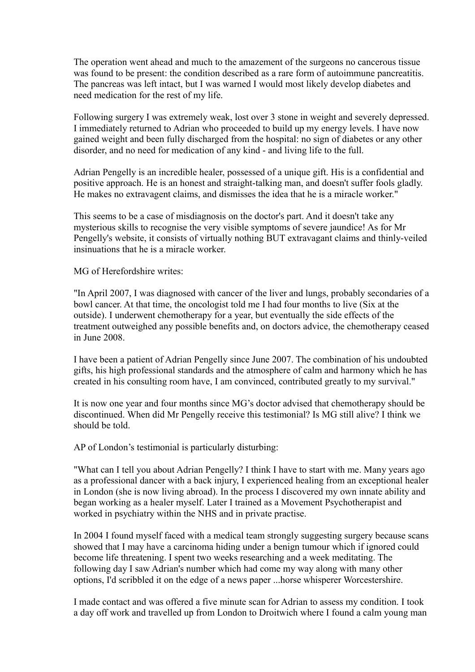The operation went ahead and much to the amazement of the surgeons no cancerous tissue was found to be present: the condition described as a rare form of autoimmune pancreatitis. The pancreas was left intact, but I was warned I would most likely develop diabetes and need medication for the rest of my life.

Following surgery I was extremely weak, lost over 3 stone in weight and severely depressed. I immediately returned to Adrian who proceeded to build up my energy levels. I have now gained weight and been fully discharged from the hospital: no sign of diabetes or any other disorder, and no need for medication of any kind - and living life to the full.

Adrian Pengelly is an incredible healer, possessed of a unique gift. His is a confidential and positive approach. He is an honest and straight-talking man, and doesn't suffer fools gladly. He makes no extravagent claims, and dismisses the idea that he is a miracle worker."

This seems to be a case of misdiagnosis on the doctor's part. And it doesn't take any mysterious skills to recognise the very visible symptoms of severe jaundice! As for Mr Pengelly's website, it consists of virtually nothing BUT extravagant claims and thinly-veiled insinuations that he is a miracle worker.

MG of Herefordshire writes:

"In April 2007, I was diagnosed with cancer of the liver and lungs, probably secondaries of a bowl cancer. At that time, the oncologist told me I had four months to live (Six at the outside). I underwent chemotherapy for a year, but eventually the side effects of the treatment outweighed any possible benefits and, on doctors advice, the chemotherapy ceased in June 2008.

I have been a patient of Adrian Pengelly since June 2007. The combination of his undoubted gifts, his high professional standards and the atmosphere of calm and harmony which he has created in his consulting room have, I am convinced, contributed greatly to my survival."

It is now one year and four months since MG's doctor advised that chemotherapy should be discontinued. When did Mr Pengelly receive this testimonial? Is MG still alive? I think we should be told.

AP of London's testimonial is particularly disturbing:

"What can I tell you about Adrian Pengelly? I think I have to start with me. Many years ago as a professional dancer with a back injury, I experienced healing from an exceptional healer in London (she is now living abroad). In the process I discovered my own innate ability and began working as a healer myself. Later I trained as a Movement Psychotherapist and worked in psychiatry within the NHS and in private practise.

In 2004 I found myself faced with a medical team strongly suggesting surgery because scans showed that I may have a carcinoma hiding under a benign tumour which if ignored could become life threatening. I spent two weeks researching and a week meditating. The following day I saw Adrian's number which had come my way along with many other options, I'd scribbled it on the edge of a news paper ...horse whisperer Worcestershire.

I made contact and was offered a five minute scan for Adrian to assess my condition. I took a day off work and travelled up from London to Droitwich where I found a calm young man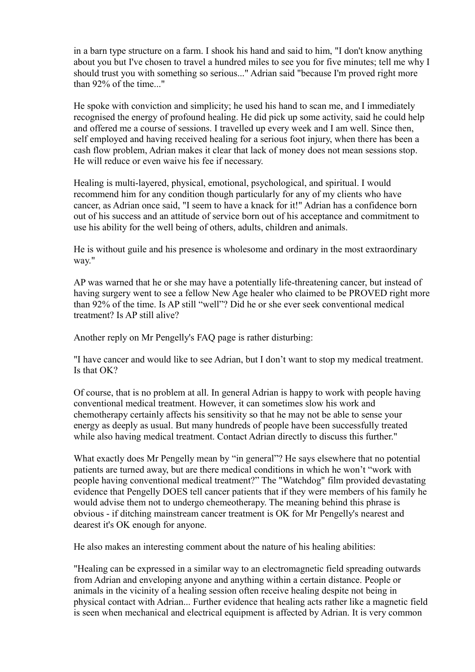in a barn type structure on a farm. I shook his hand and said to him, "I don't know anything about you but I've chosen to travel a hundred miles to see you for five minutes; tell me why I should trust you with something so serious..." Adrian said "because I'm proved right more than 92% of the time..."

He spoke with conviction and simplicity; he used his hand to scan me, and I immediately recognised the energy of profound healing. He did pick up some activity, said he could help and offered me a course of sessions. I travelled up every week and I am well. Since then, self employed and having received healing for a serious foot injury, when there has been a cash flow problem, Adrian makes it clear that lack of money does not mean sessions stop. He will reduce or even waive his fee if necessary.

Healing is multi-layered, physical, emotional, psychological, and spiritual. I would recommend him for any condition though particularly for any of my clients who have cancer, as Adrian once said, "I seem to have a knack for it!" Adrian has a confidence born out of his success and an attitude of service born out of his acceptance and commitment to use his ability for the well being of others, adults, children and animals.

He is without guile and his presence is wholesome and ordinary in the most extraordinary way."

AP was warned that he or she may have a potentially life-threatening cancer, but instead of having surgery went to see a fellow New Age healer who claimed to be PROVED right more than 92% of the time. Is AP still "well"? Did he or she ever seek conventional medical treatment? Is AP still alive?

Another reply on Mr Pengelly's FAQ page is rather disturbing:

"I have cancer and would like to see Adrian, but I don't want to stop my medical treatment. Is that OK?

Of course, that is no problem at all. In general Adrian is happy to work with people having conventional medical treatment. However, it can sometimes slow his work and chemotherapy certainly affects his sensitivity so that he may not be able to sense your energy as deeply as usual. But many hundreds of people have been successfully treated while also having medical treatment. Contact Adrian directly to discuss this further."

What exactly does Mr Pengelly mean by "in general"? He says elsewhere that no potential patients are turned away, but are there medical conditions in which he won't "work with people having conventional medical treatment?" The "Watchdog" film provided devastating evidence that Pengelly DOES tell cancer patients that if they were members of his family he would advise them not to undergo chemeotherapy. The meaning behind this phrase is obvious - if ditching mainstream cancer treatment is OK for Mr Pengelly's nearest and dearest it's OK enough for anyone.

He also makes an interesting comment about the nature of his healing abilities:

"Healing can be expressed in a similar way to an electromagnetic field spreading outwards from Adrian and enveloping anyone and anything within a certain distance. People or animals in the vicinity of a healing session often receive healing despite not being in physical contact with Adrian... Further evidence that healing acts rather like a magnetic field is seen when mechanical and electrical equipment is affected by Adrian. It is very common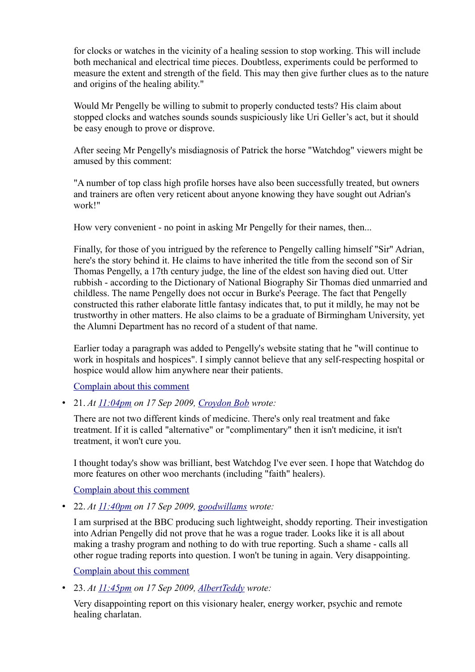for clocks or watches in the vicinity of a healing session to stop working. This will include both mechanical and electrical time pieces. Doubtless, experiments could be performed to measure the extent and strength of the field. This may then give further clues as to the nature and origins of the healing ability."

Would Mr Pengelly be willing to submit to properly conducted tests? His claim about stopped clocks and watches sounds sounds suspiciously like Uri Geller's act, but it should be easy enough to prove or disprove.

After seeing Mr Pengelly's misdiagnosis of Patrick the horse "Watchdog" viewers might be amused by this comment:

"A number of top class high profile horses have also been successfully treated, but owners and trainers are often very reticent about anyone knowing they have sought out Adrian's work!"

How very convenient - no point in asking Mr Pengelly for their names, then...

Finally, for those of you intrigued by the reference to Pengelly calling himself "Sir" Adrian, here's the story behind it. He claims to have inherited the title from the second son of Sir Thomas Pengelly, a 17th century judge, the line of the eldest son having died out. Utter rubbish - according to the Dictionary of National Biography Sir Thomas died unmarried and childless. The name Pengelly does not occur in Burke's Peerage. The fact that Pengelly constructed this rather elaborate little fantasy indicates that, to put it mildly, he may not be trustworthy in other matters. He also claims to be a graduate of Birmingham University, yet the Alumni Department has no record of a student of that name.

Earlier today a paragraph was added to Pengelly's website stating that he "will continue to work in hospitals and hospices". I simply cannot believe that any self-respecting hospital or hospice would allow him anywhere near their patients.

[Complain about this comment](https://web.archive.org/web/20120418105018/http://www.bbc.co.uk/dna/blog191/comments/UserComplaintPage?PostID=85889571&s_start=1)

• 21. *At [11:04pm](https://web.archive.org/web/20120418105018/http://www.bbc.co.uk/blogs/watchdog/2009/09/adrian_pengellys_healing_hands.html#P85889832) on 17 Sep 2009, [Croydon Bob](https://web.archive.org/web/20120418105018/http://www.bbc.co.uk/blogs/profile?userid=10277631) wrote:*

There are not two different kinds of medicine. There's only real treatment and fake treatment. If it is called "alternative" or "complimentary" then it isn't medicine, it isn't treatment, it won't cure you.

I thought today's show was brilliant, best Watchdog I've ever seen. I hope that Watchdog do more features on other woo merchants (including "faith" healers).

[Complain about this comment](https://web.archive.org/web/20120418105018/http://www.bbc.co.uk/dna/blog191/comments/UserComplaintPage?PostID=85889832&s_start=1)

• 22. *At [11:40pm](https://web.archive.org/web/20120418105018/http://www.bbc.co.uk/blogs/watchdog/2009/09/adrian_pengellys_healing_hands.html#P85890226) on 17 Sep 2009, [goodwillams](https://web.archive.org/web/20120418105018/http://www.bbc.co.uk/blogs/profile?userid=14139637) wrote:*

I am surprised at the BBC producing such lightweight, shoddy reporting. Their investigation into Adrian Pengelly did not prove that he was a rogue trader. Looks like it is all about making a trashy program and nothing to do with true reporting. Such a shame - calls all other rogue trading reports into question. I won't be tuning in again. Very disappointing.

[Complain about this comment](https://web.archive.org/web/20120418105018/http://www.bbc.co.uk/dna/blog191/comments/UserComplaintPage?PostID=85890226&s_start=1)

• 23. *At [11:45pm](https://web.archive.org/web/20120418105018/http://www.bbc.co.uk/blogs/watchdog/2009/09/adrian_pengellys_healing_hands.html#P85890255) on 17 Sep 2009, [AlbertTeddy](https://web.archive.org/web/20120418105018/http://www.bbc.co.uk/blogs/profile?userid=14130684) wrote:*

Very disappointing report on this visionary healer, energy worker, psychic and remote healing charlatan.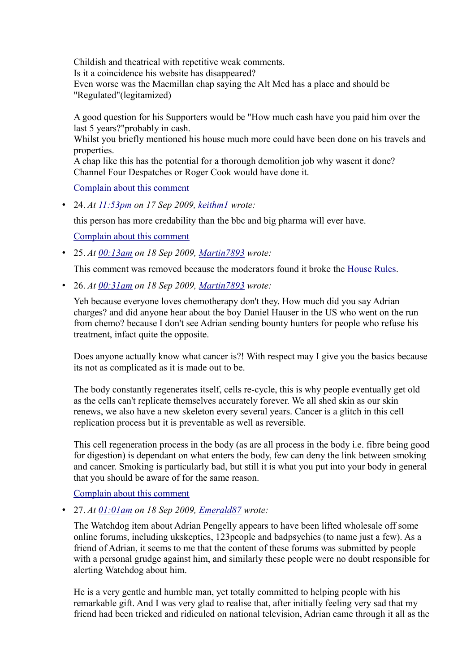Childish and theatrical with repetitive weak comments.

Is it a coincidence his website has disappeared?

Even worse was the Macmillan chap saying the Alt Med has a place and should be "Regulated"(legitamized)

A good question for his Supporters would be "How much cash have you paid him over the last 5 years?"probably in cash.

Whilst you briefly mentioned his house much more could have been done on his travels and properties.

A chap like this has the potential for a thorough demolition job why wasent it done? Channel Four Despatches or Roger Cook would have done it.

[Complain about this comment](https://web.archive.org/web/20120418105018/http://www.bbc.co.uk/dna/blog191/comments/UserComplaintPage?PostID=85890255&s_start=1)

• 24. *At [11:53pm](https://web.archive.org/web/20120418105018/http://www.bbc.co.uk/blogs/watchdog/2009/09/adrian_pengellys_healing_hands.html#P85890323) on 17 Sep 2009, [keithm1](https://web.archive.org/web/20120418105018/http://www.bbc.co.uk/blogs/profile?userid=4953103) wrote:*

this person has more credability than the bbc and big pharma will ever have.

[Complain about this comment](https://web.archive.org/web/20120418105018/http://www.bbc.co.uk/dna/blog191/comments/UserComplaintPage?PostID=85890323&s_start=1)

• 25. *At [00:13am](https://web.archive.org/web/20120418105018/http://www.bbc.co.uk/blogs/watchdog/2009/09/adrian_pengellys_healing_hands.html#P85890472) on 18 Sep 2009, [Martin7893](https://web.archive.org/web/20120418105018/http://www.bbc.co.uk/blogs/profile?userid=14139648) wrote:*

This comment was removed because the moderators found it broke the [House Rules.](https://web.archive.org/web/20120418105018/http://www.bbc.co.uk/messageboards/newguide/popup_house_rules.html)

• 26. *At [00:31am](https://web.archive.org/web/20120418105018/http://www.bbc.co.uk/blogs/watchdog/2009/09/adrian_pengellys_healing_hands.html#P85890537) on 18 Sep 2009, [Martin7893](https://web.archive.org/web/20120418105018/http://www.bbc.co.uk/blogs/profile?userid=14139648) wrote:*

Yeh because everyone loves chemotherapy don't they. How much did you say Adrian charges? and did anyone hear about the boy Daniel Hauser in the US who went on the run from chemo? because I don't see Adrian sending bounty hunters for people who refuse his treatment, infact quite the opposite.

Does anyone actually know what cancer is?! With respect may I give you the basics because its not as complicated as it is made out to be.

The body constantly regenerates itself, cells re-cycle, this is why people eventually get old as the cells can't replicate themselves accurately forever. We all shed skin as our skin renews, we also have a new skeleton every several years. Cancer is a glitch in this cell replication process but it is preventable as well as reversible.

This cell regeneration process in the body (as are all process in the body i.e. fibre being good for digestion) is dependant on what enters the body, few can deny the link between smoking and cancer. Smoking is particularly bad, but still it is what you put into your body in general that you should be aware of for the same reason.

[Complain about this comment](https://web.archive.org/web/20120418105018/http://www.bbc.co.uk/dna/blog191/comments/UserComplaintPage?PostID=85890537&s_start=1)

• 27. *At [01:01am](https://web.archive.org/web/20120418105018/http://www.bbc.co.uk/blogs/watchdog/2009/09/adrian_pengellys_healing_hands.html#P85890623) on 18 Sep 2009, [Emerald87](https://web.archive.org/web/20120418105018/http://www.bbc.co.uk/blogs/profile?userid=14139655) wrote:*

The Watchdog item about Adrian Pengelly appears to have been lifted wholesale off some online forums, including ukskeptics, 123people and badpsychics (to name just a few). As a friend of Adrian, it seems to me that the content of these forums was submitted by people with a personal grudge against him, and similarly these people were no doubt responsible for alerting Watchdog about him.

He is a very gentle and humble man, yet totally committed to helping people with his remarkable gift. And I was very glad to realise that, after initially feeling very sad that my friend had been tricked and ridiculed on national television, Adrian came through it all as the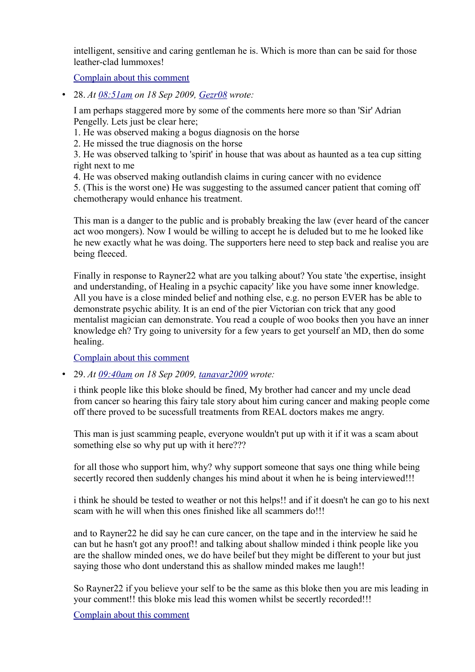intelligent, sensitive and caring gentleman he is. Which is more than can be said for those leather-clad lummoxes!

[Complain about this comment](https://web.archive.org/web/20120418105018/http://www.bbc.co.uk/dna/blog191/comments/UserComplaintPage?PostID=85890623&s_start=1)

• 28. *At [08:51am](https://web.archive.org/web/20120418105018/http://www.bbc.co.uk/blogs/watchdog/2009/09/adrian_pengellys_healing_hands.html#P85891482) on 18 Sep 2009, [Gezr08](https://web.archive.org/web/20120418105018/http://www.bbc.co.uk/blogs/profile?userid=14139732) wrote:*

I am perhaps staggered more by some of the comments here more so than 'Sir' Adrian Pengelly. Lets just be clear here;

1. He was observed making a bogus diagnosis on the horse

2. He missed the true diagnosis on the horse

3. He was observed talking to 'spirit' in house that was about as haunted as a tea cup sitting right next to me

4. He was observed making outlandish claims in curing cancer with no evidence

5. (This is the worst one) He was suggesting to the assumed cancer patient that coming off chemotherapy would enhance his treatment.

This man is a danger to the public and is probably breaking the law (ever heard of the cancer act woo mongers). Now I would be willing to accept he is deluded but to me he looked like he new exactly what he was doing. The supporters here need to step back and realise you are being fleeced.

Finally in response to Rayner22 what are you talking about? You state 'the expertise, insight and understanding, of Healing in a psychic capacity' like you have some inner knowledge. All you have is a close minded belief and nothing else, e.g. no person EVER has be able to demonstrate psychic ability. It is an end of the pier Victorian con trick that any good mentalist magician can demonstrate. You read a couple of woo books then you have an inner knowledge eh? Try going to university for a few years to get yourself an MD, then do some healing.

[Complain about this comment](https://web.archive.org/web/20120418105018/http://www.bbc.co.uk/dna/blog191/comments/UserComplaintPage?PostID=85891482&s_start=1)

• 29. *At [09:40am](https://web.archive.org/web/20120418105018/http://www.bbc.co.uk/blogs/watchdog/2009/09/adrian_pengellys_healing_hands.html#P85893014) on 18 Sep 2009, [tanavar2009](https://web.archive.org/web/20120418105018/http://www.bbc.co.uk/blogs/profile?userid=14139758) wrote:*

i think people like this bloke should be fined, My brother had cancer and my uncle dead from cancer so hearing this fairy tale story about him curing cancer and making people come off there proved to be sucessfull treatments from REAL doctors makes me angry.

This man is just scamming peaple, everyone wouldn't put up with it if it was a scam about something else so why put up with it here???

for all those who support him, why? why support someone that says one thing while being secertly recored then suddenly changes his mind about it when he is being interviewed!!!

i think he should be tested to weather or not this helps!! and if it doesn't he can go to his next scam with he will when this ones finished like all scammers do!!!

and to Rayner22 he did say he can cure cancer, on the tape and in the interview he said he can but he hasn't got any proof!! and talking about shallow minded i think people like you are the shallow minded ones, we do have beilef but they might be different to your but just saying those who dont understand this as shallow minded makes me laugh!!

So Rayner22 if you believe your self to be the same as this bloke then you are mis leading in your comment!! this bloke mis lead this women whilst be secertly recorded!!!

[Complain about this comment](https://web.archive.org/web/20120418105018/http://www.bbc.co.uk/dna/blog191/comments/UserComplaintPage?PostID=85893014&s_start=1)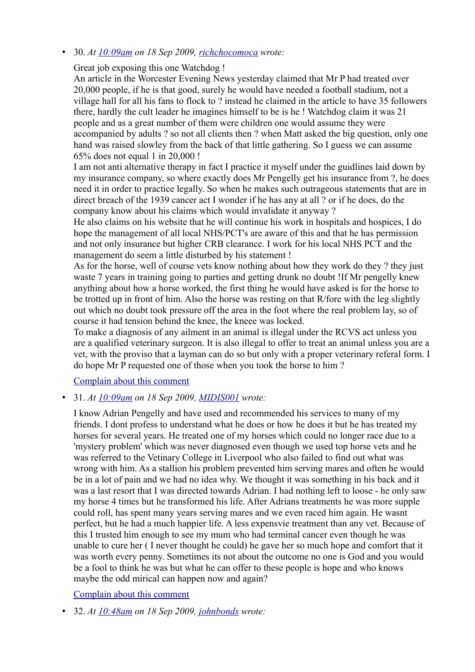## • 30. *At [10:09am](https://web.archive.org/web/20120418105018/http://www.bbc.co.uk/blogs/watchdog/2009/09/adrian_pengellys_healing_hands.html#P85894527) on 18 Sep 2009, [richchocomoca](https://web.archive.org/web/20120418105018/http://www.bbc.co.uk/blogs/profile?userid=14139774) wrote:*

Great job exposing this one Watchdog !

An article in the Worcester Evening News yesterday claimed that Mr P had treated over 20,000 people, if he is that good, surely he would have needed a football stadium, not a village hall for all his fans to flock to ? instead he claimed in the article to have 35 followers there, hardly the cult leader he imagines himself to be is he ! Watchdog claim it was 21 people and as a great number of them were children one would assume they were accompanied by adults ? so not all clients then ? when Matt asked the big question, only one hand was raised slowley from the back of that little gathering. So I guess we can assume 65% does not equal 1 in 20,000 !

I am not anti alternative therapy in fact I practice it myself under the guidlines laid down by my insurance company, so where exactly does Mr Pengelly get his insurance from ?, he does need it in order to practice legally. So when he makes such outrageous statements that are in direct breach of the 1939 cancer act I wonder if he has any at all ? or if he does, do the company know about his claims which would invalidate it anyway ?

He also claims on his website that he will continue his work in hospitals and hospices, I do hope the management of all local NHS/PCT's are aware of this and that he has permission and not only insurance but higher CRB clearance. I work for his local NHS PCT and the management do seem a little disturbed by his statement !

As for the horse, well of course vets know nothing about how they work do they ? they just waste 7 years in training going to parties and getting drunk no doubt !If Mr pengelly knew anything about how a horse worked, the first thing he would have asked is for the horse to be trotted up in front of him. Also the horse was resting on that R/fore with the leg slightly out which no doubt took pressure off the area in the foot where the real problem lay, so of course it had tension behind the knee, the kneee was locked.

To make a diagnosis of any ailment in an animal is illegal under the RCVS act unless you are a qualified veterinary surgeon. It is also illegal to offer to treat an animal unless you are a vet, with the proviso that a layman can do so but only with a proper veterinary referal form. I do hope Mr P requested one of those when you took the horse to him ?

[Complain about this comment](https://web.archive.org/web/20120418105018/http://www.bbc.co.uk/dna/blog191/comments/UserComplaintPage?PostID=85894527&s_start=1)

# • 31. *At [10:09am](https://web.archive.org/web/20120418105018/http://www.bbc.co.uk/blogs/watchdog/2009/09/adrian_pengellys_healing_hands.html#P85894553) on 18 Sep 2009, [MIDIS001](https://web.archive.org/web/20120418105018/http://www.bbc.co.uk/blogs/profile?userid=14139790) wrote:*

I know Adrian Pengelly and have used and recommended his services to many of my friends. I dont profess to understand what he does or how he does it but he has treated my horses for several years. He treated one of my horses which could no longer race due to a 'mystery problem' which was never diagnosed even though we used top horse vets and he was referred to the Vetinary College in Liverpool who also failed to find out what was wrong with him. As a stallion his problem prevented him serving mares and often he would be in a lot of pain and we had no idea why. We thought it was something in his back and it was a last resort that I was directed towards Adrian. I had nothing left to loose - he only saw my horse 4 times but he transformed his life. After Adrians treatments he was more supple could roll, has spent many years serving mares and we even raced him again. He wasnt perfect, but he had a much happier life. A less expensvie treatment than any vet. Because of this I trusted him enough to see my mum who had terminal cancer even though he was unable to cure her ( I never thought he could) he gave her so much hope and comfort that it was worth every penny. Sometimes its not about the outcome no one is God and you would be a fool to think he was but what he can offer to these people is hope and who knows maybe the odd mirical can happen now and again?

# [Complain about this comment](https://web.archive.org/web/20120418105018/http://www.bbc.co.uk/dna/blog191/comments/UserComplaintPage?PostID=85894553&s_start=1)

• 32. *At [10:48am](https://web.archive.org/web/20120418105018/http://www.bbc.co.uk/blogs/watchdog/2009/09/adrian_pengellys_healing_hands.html#P85896801) on 18 Sep 2009, [johnbonds](https://web.archive.org/web/20120418105018/http://www.bbc.co.uk/blogs/profile?userid=14139839) wrote:*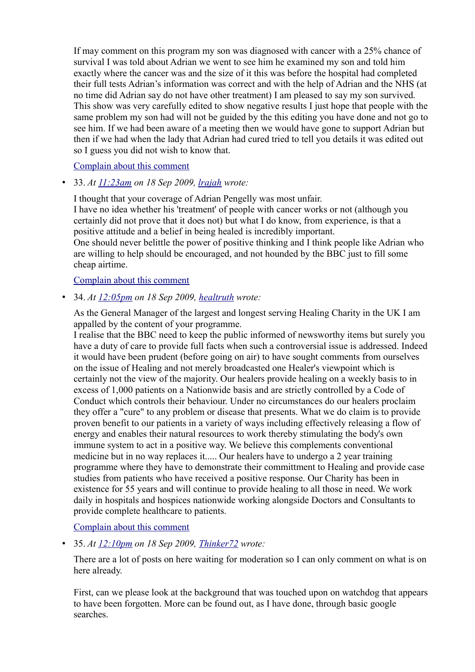If may comment on this program my son was diagnosed with cancer with a 25% chance of survival I was told about Adrian we went to see him he examined my son and told him exactly where the cancer was and the size of it this was before the hospital had completed their full tests Adrian's information was correct and with the help of Adrian and the NHS (at no time did Adrian say do not have other treatment) I am pleased to say my son survived. This show was very carefully edited to show negative results I just hope that people with the same problem my son had will not be guided by the this editing you have done and not go to see him. If we had been aware of a meeting then we would have gone to support Adrian but then if we had when the lady that Adrian had cured tried to tell you details it was edited out so I guess you did not wish to know that.

#### [Complain about this comment](https://web.archive.org/web/20120418105018/http://www.bbc.co.uk/dna/blog191/comments/UserComplaintPage?PostID=85896801&s_start=1)

• 33. *At [11:23am](https://web.archive.org/web/20120418105018/http://www.bbc.co.uk/blogs/watchdog/2009/09/adrian_pengellys_healing_hands.html#P85899079) on 18 Sep 2009, [lrajah](https://web.archive.org/web/20120418105018/http://www.bbc.co.uk/blogs/profile?userid=14139905) wrote:*

I thought that your coverage of Adrian Pengelly was most unfair. I have no idea whether his 'treatment' of people with cancer works or not (although you certainly did not prove that it does not) but what I do know, from experience, is that a positive attitude and a belief in being healed is incredibly important. One should never belittle the power of positive thinking and I think people like Adrian who are willing to help should be encouraged, and not hounded by the BBC just to fill some cheap airtime.

#### [Complain about this comment](https://web.archive.org/web/20120418105018/http://www.bbc.co.uk/dna/blog191/comments/UserComplaintPage?PostID=85899079&s_start=1)

• 34. *At [12:05pm](https://web.archive.org/web/20120418105018/http://www.bbc.co.uk/blogs/watchdog/2009/09/adrian_pengellys_healing_hands.html#P85901932) on 18 Sep 2009, [healtruth](https://web.archive.org/web/20120418105018/http://www.bbc.co.uk/blogs/profile?userid=14139946) wrote:*

As the General Manager of the largest and longest serving Healing Charity in the UK I am appalled by the content of your programme.

I realise that the BBC need to keep the public informed of newsworthy items but surely you have a duty of care to provide full facts when such a controversial issue is addressed. Indeed it would have been prudent (before going on air) to have sought comments from ourselves on the issue of Healing and not merely broadcasted one Healer's viewpoint which is certainly not the view of the majority. Our healers provide healing on a weekly basis to in excess of 1,000 patients on a Nationwide basis and are strictly controlled by a Code of Conduct which controls their behaviour. Under no circumstances do our healers proclaim they offer a "cure" to any problem or disease that presents. What we do claim is to provide proven benefit to our patients in a variety of ways including effectively releasing a flow of energy and enables their natural resources to work thereby stimulating the body's own immune system to act in a positive way. We believe this complements conventional medicine but in no way replaces it..... Our healers have to undergo a 2 year training programme where they have to demonstrate their committment to Healing and provide case studies from patients who have received a positive response. Our Charity has been in existence for 55 years and will continue to provide healing to all those in need. We work daily in hospitals and hospices nationwide working alongside Doctors and Consultants to provide complete healthcare to patients.

## [Complain about this comment](https://web.archive.org/web/20120418105018/http://www.bbc.co.uk/dna/blog191/comments/UserComplaintPage?PostID=85901932&s_start=1)

• 35. *At [12:10pm](https://web.archive.org/web/20120418105018/http://www.bbc.co.uk/blogs/watchdog/2009/09/adrian_pengellys_healing_hands.html#P85902236) on 18 Sep 2009, [Thinker72](https://web.archive.org/web/20120418105018/http://www.bbc.co.uk/blogs/profile?userid=14139936) wrote:*

There are a lot of posts on here waiting for moderation so I can only comment on what is on here already.

First, can we please look at the background that was touched upon on watchdog that appears to have been forgotten. More can be found out, as I have done, through basic google searches.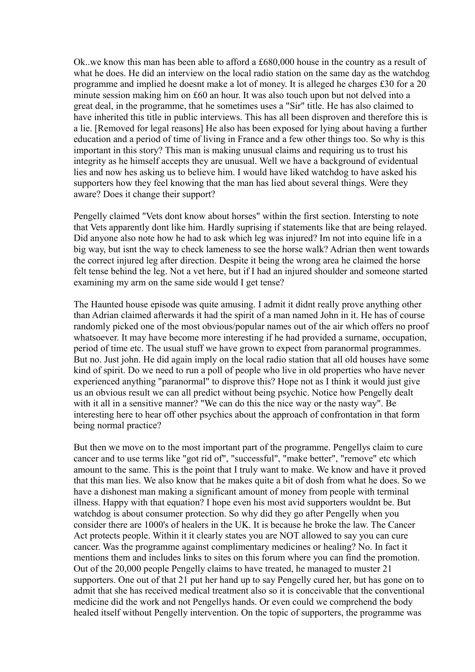Ok..we know this man has been able to afford a £680,000 house in the country as a result of what he does. He did an interview on the local radio station on the same day as the watchdog programme and implied he doesnt make a lot of money. It is alleged he charges £30 for a 20 minute session making him on £60 an hour. It was also touch upon but not delved into a great deal, in the programme, that he sometimes uses a "Sir" title. He has also claimed to have inherited this title in public interviews. This has all been disproven and therefore this is a lie. [Removed for legal reasons] He also has been exposed for lying about having a further education and a period of time of living in France and a few other things too. So why is this important in this story? This man is making unusual claims and requiring us to trust his integrity as he himself accepts they are unusual. Well we have a background of evidentual lies and now hes asking us to believe him. I would have liked watchdog to have asked his supporters how they feel knowing that the man has lied about several things. Were they aware? Does it change their support?

Pengelly claimed "Vets dont know about horses" within the first section. Intersting to note that Vets apparently dont like him. Hardly suprising if statements like that are being relayed. Did anyone also note how he had to ask which leg was injured? Im not into equine life in a big way, but isnt the way to check lameness to see the horse walk? Adrian then went towards the correct injured leg after direction. Despite it being the wrong area he claimed the horse felt tense behind the leg. Not a vet here, but if I had an injured shoulder and someone started examining my arm on the same side would I get tense?

The Haunted house episode was quite amusing. I admit it didnt really prove anything other than Adrian claimed afterwards it had the spirit of a man named John in it. He has of course randomly picked one of the most obvious/popular names out of the air which offers no proof whatsoever. It may have become more interesting if he had provided a surname, occupation, period of time etc. The usual stuff we have grown to expect from paranormal programmes. But no. Just john. He did again imply on the local radio station that all old houses have some kind of spirit. Do we need to run a poll of people who live in old properties who have never experienced anything "paranormal" to disprove this? Hope not as I think it would just give us an obvious result we can all predict without being psychic. Notice how Pengelly dealt with it all in a sensitive manner? "We can do this the nice way or the nasty way". Be interesting here to hear off other psychics about the approach of confrontation in that form being normal practice?

But then we move on to the most important part of the programme. Pengellys claim to cure cancer and to use terms like "got rid of", "successful", "make better", "remove" etc which amount to the same. This is the point that I truly want to make. We know and have it proved that this man lies. We also know that he makes quite a bit of dosh from what he does. So we have a dishonest man making a significant amount of money from people with terminal illness. Happy with that equation? I hope even his most avid supporters wouldnt be. But watchdog is about consumer protection. So why did they go after Pengelly when you consider there are 1000's of healers in the UK. It is because he broke the law. The Cancer Act protects people. Within it it clearly states you are NOT allowed to say you can cure cancer. Was the programme against complimentary medicines or healing? No. In fact it mentions them and includes links to sites on this forum where you can find the promotion. Out of the 20,000 people Pengelly claims to have treated, he managed to muster 21 supporters. One out of that 21 put her hand up to say Pengelly cured her, but has gone on to admit that she has received medical treatment also so it is conceivable that the conventional medicine did the work and not Pengellys hands. Or even could we comprehend the body healed itself without Pengelly intervention. On the topic of supporters, the programme was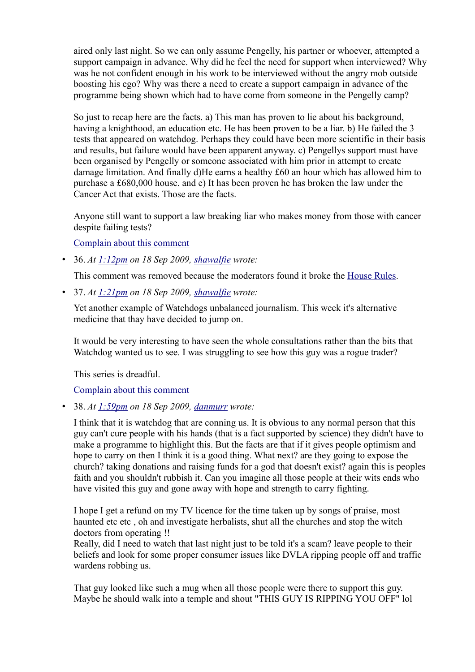aired only last night. So we can only assume Pengelly, his partner or whoever, attempted a support campaign in advance. Why did he feel the need for support when interviewed? Why was he not confident enough in his work to be interviewed without the angry mob outside boosting his ego? Why was there a need to create a support campaign in advance of the programme being shown which had to have come from someone in the Pengelly camp?

So just to recap here are the facts. a) This man has proven to lie about his background, having a knighthood, an education etc. He has been proven to be a liar, b) He failed the 3 tests that appeared on watchdog. Perhaps they could have been more scientific in their basis and results, but failure would have been apparent anyway. c) Pengellys support must have been organised by Pengelly or someone associated with him prior in attempt to create damage limitation. And finally d)He earns a healthy £60 an hour which has allowed him to purchase a £680,000 house. and e) It has been proven he has broken the law under the Cancer Act that exists. Those are the facts.

Anyone still want to support a law breaking liar who makes money from those with cancer despite failing tests?

[Complain about this comment](https://web.archive.org/web/20120418105018/http://www.bbc.co.uk/dna/blog191/comments/UserComplaintPage?PostID=85902236&s_start=1)

• 36. *At [1:12pm](https://web.archive.org/web/20120418105018/http://www.bbc.co.uk/blogs/watchdog/2009/09/adrian_pengellys_healing_hands.html#P85906037) on 18 Sep 2009, [shawalfie](https://web.archive.org/web/20120418105018/http://www.bbc.co.uk/blogs/profile?userid=14133122) wrote:*

This comment was removed because the moderators found it broke the [House Rules.](https://web.archive.org/web/20120418105018/http://www.bbc.co.uk/messageboards/newguide/popup_house_rules.html)

• 37. *At [1:21pm](https://web.archive.org/web/20120418105018/http://www.bbc.co.uk/blogs/watchdog/2009/09/adrian_pengellys_healing_hands.html#P85906677) on 18 Sep 2009, [shawalfie](https://web.archive.org/web/20120418105018/http://www.bbc.co.uk/blogs/profile?userid=14133122) wrote:*

Yet another example of Watchdogs unbalanced journalism. This week it's alternative medicine that thay have decided to jump on.

It would be very interesting to have seen the whole consultations rather than the bits that Watchdog wanted us to see. I was struggling to see how this guy was a rogue trader?

This series is dreadful.

[Complain about this comment](https://web.archive.org/web/20120418105018/http://www.bbc.co.uk/dna/blog191/comments/UserComplaintPage?PostID=85906677&s_start=1)

• 38. *At [1:59pm](https://web.archive.org/web/20120418105018/http://www.bbc.co.uk/blogs/watchdog/2009/09/adrian_pengellys_healing_hands.html#P85909099) on 18 Sep 2009, [danmurr](https://web.archive.org/web/20120418105018/http://www.bbc.co.uk/blogs/profile?userid=14140081) wrote:*

I think that it is watchdog that are conning us. It is obvious to any normal person that this guy can't cure people with his hands (that is a fact supported by science) they didn't have to make a programme to highlight this. But the facts are that if it gives people optimism and hope to carry on then I think it is a good thing. What next? are they going to expose the church? taking donations and raising funds for a god that doesn't exist? again this is peoples faith and you shouldn't rubbish it. Can you imagine all those people at their wits ends who have visited this guy and gone away with hope and strength to carry fighting.

I hope I get a refund on my TV licence for the time taken up by songs of praise, most haunted etc etc , oh and investigate herbalists, shut all the churches and stop the witch doctors from operating !!

Really, did I need to watch that last night just to be told it's a scam? leave people to their beliefs and look for some proper consumer issues like DVLA ripping people off and traffic wardens robbing us.

That guy looked like such a mug when all those people were there to support this guy. Maybe he should walk into a temple and shout "THIS GUY IS RIPPING YOU OFF" lol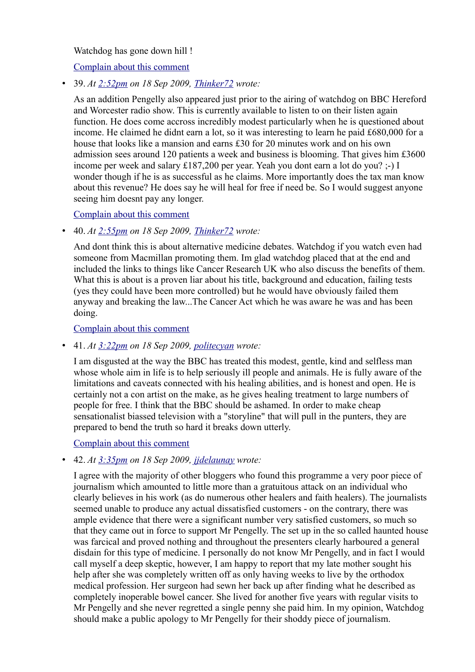Watchdog has gone down hill !

[Complain about this comment](https://web.archive.org/web/20120418105018/http://www.bbc.co.uk/dna/blog191/comments/UserComplaintPage?PostID=85909099&s_start=1)

• 39. *At [2:52pm](https://web.archive.org/web/20120418105018/http://www.bbc.co.uk/blogs/watchdog/2009/09/adrian_pengellys_healing_hands.html#P85912462) on 18 Sep 2009, [Thinker72](https://web.archive.org/web/20120418105018/http://www.bbc.co.uk/blogs/profile?userid=14139936) wrote:*

As an addition Pengelly also appeared just prior to the airing of watchdog on BBC Hereford and Worcester radio show. This is currently available to listen to on their listen again function. He does come accross incredibly modest particularly when he is questioned about income. He claimed he didnt earn a lot, so it was interesting to learn he paid £680,000 for a house that looks like a mansion and earns £30 for 20 minutes work and on his own admission sees around 120 patients a week and business is blooming. That gives him £3600 income per week and salary £187,200 per year. Yeah you dont earn a lot do you? ;-) I wonder though if he is as successful as he claims. More importantly does the tax man know about this revenue? He does say he will heal for free if need be. So I would suggest anyone seeing him doesnt pay any longer.

[Complain about this comment](https://web.archive.org/web/20120418105018/http://www.bbc.co.uk/dna/blog191/comments/UserComplaintPage?PostID=85912462&s_start=1)

• 40. *At [2:55pm](https://web.archive.org/web/20120418105018/http://www.bbc.co.uk/blogs/watchdog/2009/09/adrian_pengellys_healing_hands.html#P85912624) on 18 Sep 2009, [Thinker72](https://web.archive.org/web/20120418105018/http://www.bbc.co.uk/blogs/profile?userid=14139936) wrote:*

And dont think this is about alternative medicine debates. Watchdog if you watch even had someone from Macmillan promoting them. Im glad watchdog placed that at the end and included the links to things like Cancer Research UK who also discuss the benefits of them. What this is about is a proven liar about his title, background and education, failing tests (yes they could have been more controlled) but he would have obviously failed them anyway and breaking the law...The Cancer Act which he was aware he was and has been doing.

[Complain about this comment](https://web.archive.org/web/20120418105018/http://www.bbc.co.uk/dna/blog191/comments/UserComplaintPage?PostID=85912624&s_start=1)

• 41. *At [3:22pm](https://web.archive.org/web/20120418105018/http://www.bbc.co.uk/blogs/watchdog/2009/09/adrian_pengellys_healing_hands.html#P85914341) on 18 Sep 2009, [politecyan](https://web.archive.org/web/20120418105018/http://www.bbc.co.uk/blogs/profile?userid=14140197) wrote:*

I am disgusted at the way the BBC has treated this modest, gentle, kind and selfless man whose whole aim in life is to help seriously ill people and animals. He is fully aware of the limitations and caveats connected with his healing abilities, and is honest and open. He is certainly not a con artist on the make, as he gives healing treatment to large numbers of people for free. I think that the BBC should be ashamed. In order to make cheap sensationalist biassed television with a "storyline" that will pull in the punters, they are prepared to bend the truth so hard it breaks down utterly.

[Complain about this comment](https://web.archive.org/web/20120418105018/http://www.bbc.co.uk/dna/blog191/comments/UserComplaintPage?PostID=85914341&s_start=1)

## • 42. *At [3:35pm](https://web.archive.org/web/20120418105018/http://www.bbc.co.uk/blogs/watchdog/2009/09/adrian_pengellys_healing_hands.html#P85915117) on 18 Sep 2009, [jjdelaunay](https://web.archive.org/web/20120418105018/http://www.bbc.co.uk/blogs/profile?userid=14140193) wrote:*

I agree with the majority of other bloggers who found this programme a very poor piece of journalism which amounted to little more than a gratuitous attack on an individual who clearly believes in his work (as do numerous other healers and faith healers). The journalists seemed unable to produce any actual dissatisfied customers - on the contrary, there was ample evidence that there were a significant number very satisfied customers, so much so that they came out in force to support Mr Pengelly. The set up in the so called haunted house was farcical and proved nothing and throughout the presenters clearly harboured a general disdain for this type of medicine. I personally do not know Mr Pengelly, and in fact I would call myself a deep skeptic, however, I am happy to report that my late mother sought his help after she was completely written off as only having weeks to live by the orthodox medical profession. Her surgeon had sewn her back up after finding what he described as completely inoperable bowel cancer. She lived for another five years with regular visits to Mr Pengelly and she never regretted a single penny she paid him. In my opinion, Watchdog should make a public apology to Mr Pengelly for their shoddy piece of journalism.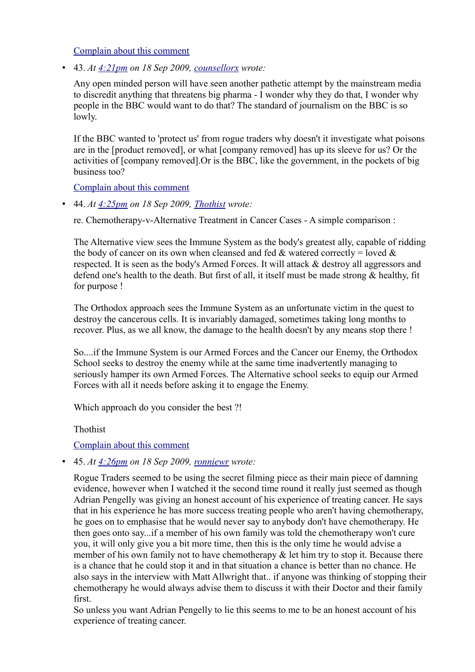[Complain about this comment](https://web.archive.org/web/20120418105018/http://www.bbc.co.uk/dna/blog191/comments/UserComplaintPage?PostID=85915117&s_start=1)

• 43. *At [4:21pm](https://web.archive.org/web/20120418105018/http://www.bbc.co.uk/blogs/watchdog/2009/09/adrian_pengellys_healing_hands.html#P85917953) on 18 Sep 2009, [counsellorx](https://web.archive.org/web/20120418105018/http://www.bbc.co.uk/blogs/profile?userid=14140260) wrote:*

Any open minded person will have seen another pathetic attempt by the mainstream media to discredit anything that threatens big pharma - I wonder why they do that, I wonder why people in the BBC would want to do that? The standard of journalism on the BBC is so lowly.

If the BBC wanted to 'protect us' from rogue traders why doesn't it investigate what poisons are in the [product removed], or what [company removed] has up its sleeve for us? Or the activities of [company removed].Or is the BBC, like the government, in the pockets of big business too?

[Complain about this comment](https://web.archive.org/web/20120418105018/http://www.bbc.co.uk/dna/blog191/comments/UserComplaintPage?PostID=85917953&s_start=1)

• 44. *At [4:25pm](https://web.archive.org/web/20120418105018/http://www.bbc.co.uk/blogs/watchdog/2009/09/adrian_pengellys_healing_hands.html#P85918243) on 18 Sep 2009, [Thothist](https://web.archive.org/web/20120418105018/http://www.bbc.co.uk/blogs/profile?userid=14140196) wrote:*

re. Chemotherapy-v-Alternative Treatment in Cancer Cases - A simple comparison :

The Alternative view sees the Immune System as the body's greatest ally, capable of ridding the body of cancer on its own when cleansed and fed  $\&$  watered correctly = loved  $\&$ respected. It is seen as the body's Armed Forces. It will attack & destroy all aggressors and defend one's health to the death. But first of all, it itself must be made strong & healthy, fit for purpose !

The Orthodox approach sees the Immune System as an unfortunate victim in the quest to destroy the cancerous cells. It is invariably damaged, sometimes taking long months to recover. Plus, as we all know, the damage to the health doesn't by any means stop there !

So....if the Immune System is our Armed Forces and the Cancer our Enemy, the Orthodox School seeks to destroy the enemy while at the same time inadvertently managing to seriously hamper its own Armed Forces. The Alternative school seeks to equip our Armed Forces with all it needs before asking it to engage the Enemy.

Which approach do you consider the best ?!

Thothist

## [Complain about this comment](https://web.archive.org/web/20120418105018/http://www.bbc.co.uk/dna/blog191/comments/UserComplaintPage?PostID=85918243&s_start=1)

• 45. *At [4:26pm](https://web.archive.org/web/20120418105018/http://www.bbc.co.uk/blogs/watchdog/2009/09/adrian_pengellys_healing_hands.html#P85918300) on 18 Sep 2009, [ronniewr](https://web.archive.org/web/20120418105018/http://www.bbc.co.uk/blogs/profile?userid=14140019) wrote:*

Rogue Traders seemed to be using the secret filming piece as their main piece of damning evidence, however when I watched it the second time round it really just seemed as though Adrian Pengelly was giving an honest account of his experience of treating cancer. He says that in his experience he has more success treating people who aren't having chemotherapy, he goes on to emphasise that he would never say to anybody don't have chemotherapy. He then goes onto say...if a member of his own family was told the chemotherapy won't cure you, it will only give you a bit more time, then this is the only time he would advise a member of his own family not to have chemotherapy & let him try to stop it. Because there is a chance that he could stop it and in that situation a chance is better than no chance. He also says in the interview with Matt Allwright that.. if anyone was thinking of stopping their chemotherapy he would always advise them to discuss it with their Doctor and their family first.

So unless you want Adrian Pengelly to lie this seems to me to be an honest account of his experience of treating cancer.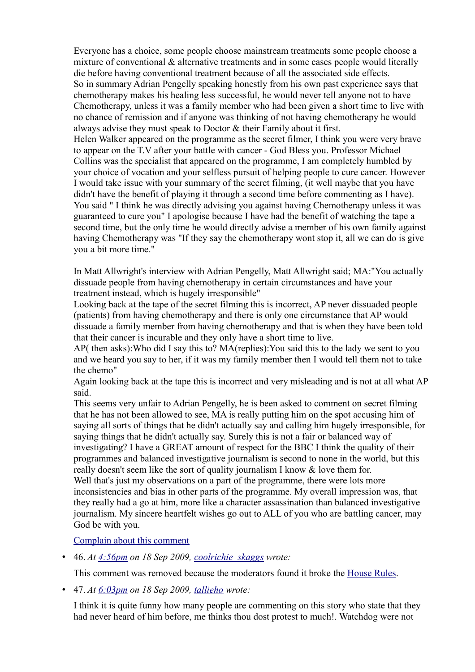Everyone has a choice, some people choose mainstream treatments some people choose a mixture of conventional & alternative treatments and in some cases people would literally die before having conventional treatment because of all the associated side effects. So in summary Adrian Pengelly speaking honestly from his own past experience says that chemotherapy makes his healing less successful, he would never tell anyone not to have Chemotherapy, unless it was a family member who had been given a short time to live with no chance of remission and if anyone was thinking of not having chemotherapy he would always advise they must speak to Doctor & their Family about it first. Helen Walker appeared on the programme as the secret filmer, I think you were very brave to appear on the T.V after your battle with cancer - God Bless you. Professor Michael Collins was the specialist that appeared on the programme, I am completely humbled by your choice of vocation and your selfless pursuit of helping people to cure cancer. However I would take issue with your summary of the secret filming, (it well maybe that you have didn't have the benefit of playing it through a second time before commenting as I have). You said " I think he was directly advising you against having Chemotherapy unless it was guaranteed to cure you" I apologise because I have had the benefit of watching the tape a second time, but the only time he would directly advise a member of his own family against having Chemotherapy was "If they say the chemotherapy wont stop it, all we can do is give you a bit more time."

In Matt Allwright's interview with Adrian Pengelly, Matt Allwright said; MA:"You actually dissuade people from having chemotherapy in certain circumstances and have your treatment instead, which is hugely irresponsible"

Looking back at the tape of the secret filming this is incorrect, AP never dissuaded people (patients) from having chemotherapy and there is only one circumstance that AP would dissuade a family member from having chemotherapy and that is when they have been told that their cancer is incurable and they only have a short time to live.

AP( then asks):Who did I say this to? MA(replies):You said this to the lady we sent to you and we heard you say to her, if it was my family member then I would tell them not to take the chemo"

Again looking back at the tape this is incorrect and very misleading and is not at all what AP said.

This seems very unfair to Adrian Pengelly, he is been asked to comment on secret filming that he has not been allowed to see, MA is really putting him on the spot accusing him of saying all sorts of things that he didn't actually say and calling him hugely irresponsible, for saying things that he didn't actually say. Surely this is not a fair or balanced way of investigating? I have a GREAT amount of respect for the BBC I think the quality of their programmes and balanced investigative journalism is second to none in the world, but this really doesn't seem like the sort of quality journalism I know & love them for. Well that's just my observations on a part of the programme, there were lots more inconsistencies and bias in other parts of the programme. My overall impression was, that they really had a go at him, more like a character assassination than balanced investigative journalism. My sincere heartfelt wishes go out to ALL of you who are battling cancer, may God be with you.

[Complain about this comment](https://web.archive.org/web/20120418105018/http://www.bbc.co.uk/dna/blog191/comments/UserComplaintPage?PostID=85918300&s_start=1)

• 46. *At [4:56pm](https://web.archive.org/web/20120418105018/http://www.bbc.co.uk/blogs/watchdog/2009/09/adrian_pengellys_healing_hands.html#P85920003) on 18 Sep 2009, [coolrichie\\_skaggs](https://web.archive.org/web/20120418105018/http://www.bbc.co.uk/blogs/profile?userid=14140294) wrote:*

This comment was removed because the moderators found it broke the [House Rules.](https://web.archive.org/web/20120418105018/http://www.bbc.co.uk/messageboards/newguide/popup_house_rules.html)

• 47. *At [6:03pm](https://web.archive.org/web/20120418105018/http://www.bbc.co.uk/blogs/watchdog/2009/09/adrian_pengellys_healing_hands.html#P85923423) on 18 Sep 2009, [tallieho](https://web.archive.org/web/20120418105018/http://www.bbc.co.uk/blogs/profile?userid=14139546) wrote:*

I think it is quite funny how many people are commenting on this story who state that they had never heard of him before, me thinks thou dost protest to much!. Watchdog were not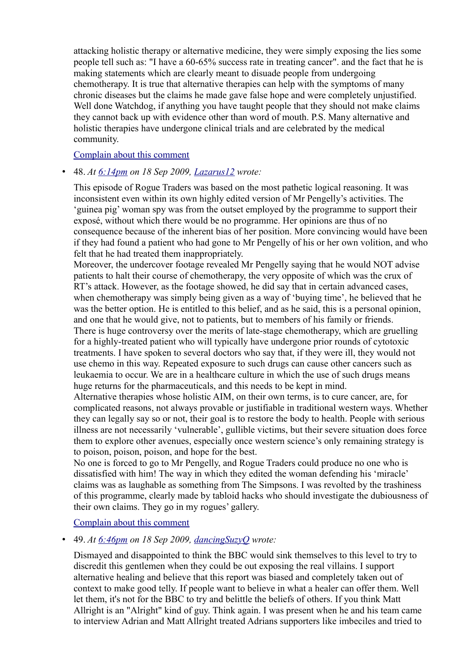attacking holistic therapy or alternative medicine, they were simply exposing the lies some people tell such as: "I have a 60-65% success rate in treating cancer". and the fact that he is making statements which are clearly meant to disuade people from undergoing chemotherapy. It is true that alternative therapies can help with the symptoms of many chronic diseases but the claims he made gave false hope and were completely unjustified. Well done Watchdog, if anything you have taught people that they should not make claims they cannot back up with evidence other than word of mouth. P.S. Many alternative and holistic therapies have undergone clinical trials and are celebrated by the medical community.

#### [Complain about this comment](https://web.archive.org/web/20120418105018/http://www.bbc.co.uk/dna/blog191/comments/UserComplaintPage?PostID=85923423&s_start=1)

## • 48. *At [6:14pm](https://web.archive.org/web/20120418105018/http://www.bbc.co.uk/blogs/watchdog/2009/09/adrian_pengellys_healing_hands.html#P85923928) on 18 Sep 2009, [Lazarus12](https://web.archive.org/web/20120418105018/http://www.bbc.co.uk/blogs/profile?userid=14140400) wrote:*

This episode of Rogue Traders was based on the most pathetic logical reasoning. It was inconsistent even within its own highly edited version of Mr Pengelly's activities. The 'guinea pig' woman spy was from the outset employed by the programme to support their exposé, without which there would be no programme. Her opinions are thus of no consequence because of the inherent bias of her position. More convincing would have been if they had found a patient who had gone to Mr Pengelly of his or her own volition, and who felt that he had treated them inappropriately.

Moreover, the undercover footage revealed Mr Pengelly saying that he would NOT advise patients to halt their course of chemotherapy, the very opposite of which was the crux of RT's attack. However, as the footage showed, he did say that in certain advanced cases, when chemotherapy was simply being given as a way of 'buying time', he believed that he was the better option. He is entitled to this belief, and as he said, this is a personal opinion, and one that he would give, not to patients, but to members of his family or friends. There is huge controversy over the merits of late-stage chemotherapy, which are gruelling for a highly-treated patient who will typically have undergone prior rounds of cytotoxic treatments. I have spoken to several doctors who say that, if they were ill, they would not use chemo in this way. Repeated exposure to such drugs can cause other cancers such as leukaemia to occur. We are in a healthcare culture in which the use of such drugs means huge returns for the pharmaceuticals, and this needs to be kept in mind.

Alternative therapies whose holistic AIM, on their own terms, is to cure cancer, are, for complicated reasons, not always provable or justifiable in traditional western ways. Whether they can legally say so or not, their goal is to restore the body to health. People with serious illness are not necessarily 'vulnerable', gullible victims, but their severe situation does force them to explore other avenues, especially once western science's only remaining strategy is to poison, poison, poison, and hope for the best.

No one is forced to go to Mr Pengelly, and Rogue Traders could produce no one who is dissatisfied with him! The way in which they edited the woman defending his 'miracle' claims was as laughable as something from The Simpsons. I was revolted by the trashiness of this programme, clearly made by tabloid hacks who should investigate the dubiousness of their own claims. They go in my rogues' gallery.

## [Complain about this comment](https://web.archive.org/web/20120418105018/http://www.bbc.co.uk/dna/blog191/comments/UserComplaintPage?PostID=85923928&s_start=1)

• 49. *At [6:46pm](https://web.archive.org/web/20120418105018/http://www.bbc.co.uk/blogs/watchdog/2009/09/adrian_pengellys_healing_hands.html#P85925248) on 18 Sep 2009, [dancingSuzyQ](https://web.archive.org/web/20120418105018/http://www.bbc.co.uk/blogs/profile?userid=14140422) wrote:*

Dismayed and disappointed to think the BBC would sink themselves to this level to try to discredit this gentlemen when they could be out exposing the real villains. I support alternative healing and believe that this report was biased and completely taken out of context to make good telly. If people want to believe in what a healer can offer them. Well let them, it's not for the BBC to try and belittle the beliefs of others. If you think Matt Allright is an "Alright" kind of guy. Think again. I was present when he and his team came to interview Adrian and Matt Allright treated Adrians supporters like imbeciles and tried to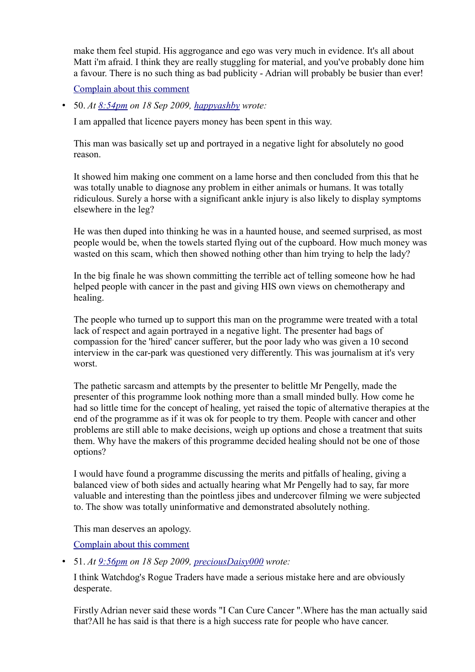make them feel stupid. His aggrogance and ego was very much in evidence. It's all about Matt i'm afraid. I think they are really stuggling for material, and you've probably done him a favour. There is no such thing as bad publicity - Adrian will probably be busier than ever!

[Complain about this comment](https://web.archive.org/web/20120418105018/http://www.bbc.co.uk/dna/blog191/comments/UserComplaintPage?PostID=85925248&s_start=1)

• 50. *At [8:54pm](https://web.archive.org/web/20120418105018/http://www.bbc.co.uk/blogs/watchdog/2009/09/adrian_pengellys_healing_hands.html#P85930572) on 18 Sep 2009, [happyashby](https://web.archive.org/web/20120418105018/http://www.bbc.co.uk/blogs/profile?userid=14140561) wrote:*

I am appalled that licence payers money has been spent in this way.

This man was basically set up and portrayed in a negative light for absolutely no good reason.

It showed him making one comment on a lame horse and then concluded from this that he was totally unable to diagnose any problem in either animals or humans. It was totally ridiculous. Surely a horse with a significant ankle injury is also likely to display symptoms elsewhere in the leg?

He was then duped into thinking he was in a haunted house, and seemed surprised, as most people would be, when the towels started flying out of the cupboard. How much money was wasted on this scam, which then showed nothing other than him trying to help the lady?

In the big finale he was shown committing the terrible act of telling someone how he had helped people with cancer in the past and giving HIS own views on chemotherapy and healing.

The people who turned up to support this man on the programme were treated with a total lack of respect and again portrayed in a negative light. The presenter had bags of compassion for the 'hired' cancer sufferer, but the poor lady who was given a 10 second interview in the car-park was questioned very differently. This was journalism at it's very worst.

The pathetic sarcasm and attempts by the presenter to belittle Mr Pengelly, made the presenter of this programme look nothing more than a small minded bully. How come he had so little time for the concept of healing, yet raised the topic of alternative therapies at the end of the programme as if it was ok for people to try them. People with cancer and other problems are still able to make decisions, weigh up options and chose a treatment that suits them. Why have the makers of this programme decided healing should not be one of those options?

I would have found a programme discussing the merits and pitfalls of healing, giving a balanced view of both sides and actually hearing what Mr Pengelly had to say, far more valuable and interesting than the pointless jibes and undercover filming we were subjected to. The show was totally uninformative and demonstrated absolutely nothing.

This man deserves an apology.

[Complain about this comment](https://web.archive.org/web/20120418105018/http://www.bbc.co.uk/dna/blog191/comments/UserComplaintPage?PostID=85930572&s_start=1)

• 51. *At [9:56pm](https://web.archive.org/web/20120418105018/http://www.bbc.co.uk/blogs/watchdog/2009/09/adrian_pengellys_healing_hands.html#P85933157) on 18 Sep 2009, [preciousDaisy000](https://web.archive.org/web/20120418105018/http://www.bbc.co.uk/blogs/profile?userid=14140709) wrote:*

I think Watchdog's Rogue Traders have made a serious mistake here and are obviously desperate.

Firstly Adrian never said these words "I Can Cure Cancer ".Where has the man actually said that?All he has said is that there is a high success rate for people who have cancer.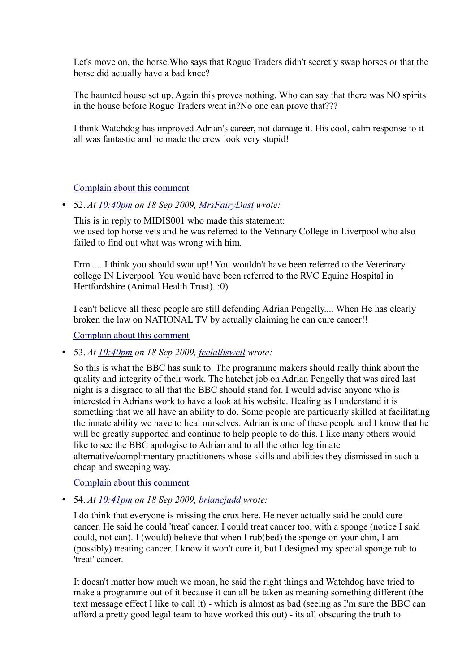Let's move on, the horse.Who says that Rogue Traders didn't secretly swap horses or that the horse did actually have a bad knee?

The haunted house set up. Again this proves nothing. Who can say that there was NO spirits in the house before Rogue Traders went in?No one can prove that???

I think Watchdog has improved Adrian's career, not damage it. His cool, calm response to it all was fantastic and he made the crew look very stupid!

## [Complain about this comment](https://web.archive.org/web/20120418105018/http://www.bbc.co.uk/dna/blog191/comments/UserComplaintPage?PostID=85933157&s_start=1)

• 52. *At [10:40pm](https://web.archive.org/web/20120418105018/http://www.bbc.co.uk/blogs/watchdog/2009/09/adrian_pengellys_healing_hands.html#P85935103) on 18 Sep 2009, [MrsFairyDust](https://web.archive.org/web/20120418105018/http://www.bbc.co.uk/blogs/profile?userid=14139581) wrote:*

This is in reply to MIDIS001 who made this statement: we used top horse vets and he was referred to the Vetinary College in Liverpool who also failed to find out what was wrong with him.

Erm..... I think you should swat up!! You wouldn't have been referred to the Veterinary college IN Liverpool. You would have been referred to the RVC Equine Hospital in Hertfordshire (Animal Health Trust). :0)

I can't believe all these people are still defending Adrian Pengelly.... When He has clearly broken the law on NATIONAL TV by actually claiming he can cure cancer!!

[Complain about this comment](https://web.archive.org/web/20120418105018/http://www.bbc.co.uk/dna/blog191/comments/UserComplaintPage?PostID=85935103&s_start=1)

• 53. *At [10:40pm](https://web.archive.org/web/20120418105018/http://www.bbc.co.uk/blogs/watchdog/2009/09/adrian_pengellys_healing_hands.html#P85935108) on 18 Sep 2009, [feelalliswell](https://web.archive.org/web/20120418105018/http://www.bbc.co.uk/blogs/profile?userid=14140823) wrote:*

So this is what the BBC has sunk to. The programme makers should really think about the quality and integrity of their work. The hatchet job on Adrian Pengelly that was aired last night is a disgrace to all that the BBC should stand for. I would advise anyone who is interested in Adrians work to have a look at his website. Healing as I understand it is something that we all have an ability to do. Some people are particuarly skilled at facilitating the innate ability we have to heal ourselves. Adrian is one of these people and I know that he will be greatly supported and continue to help people to do this. I like many others would like to see the BBC apologise to Adrian and to all the other legitimate alternative/complimentary practitioners whose skills and abilities they dismissed in such a cheap and sweeping way.

[Complain about this comment](https://web.archive.org/web/20120418105018/http://www.bbc.co.uk/dna/blog191/comments/UserComplaintPage?PostID=85935108&s_start=1)

• 54. *At [10:41pm](https://web.archive.org/web/20120418105018/http://www.bbc.co.uk/blogs/watchdog/2009/09/adrian_pengellys_healing_hands.html#P85935122) on 18 Sep 2009, [briancjudd](https://web.archive.org/web/20120418105018/http://www.bbc.co.uk/blogs/profile?userid=14140857) wrote:*

I do think that everyone is missing the crux here. He never actually said he could cure cancer. He said he could 'treat' cancer. I could treat cancer too, with a sponge (notice I said could, not can). I (would) believe that when I rub(bed) the sponge on your chin, I am (possibly) treating cancer. I know it won't cure it, but I designed my special sponge rub to 'treat' cancer.

It doesn't matter how much we moan, he said the right things and Watchdog have tried to make a programme out of it because it can all be taken as meaning something different (the text message effect I like to call it) - which is almost as bad (seeing as I'm sure the BBC can afford a pretty good legal team to have worked this out) - its all obscuring the truth to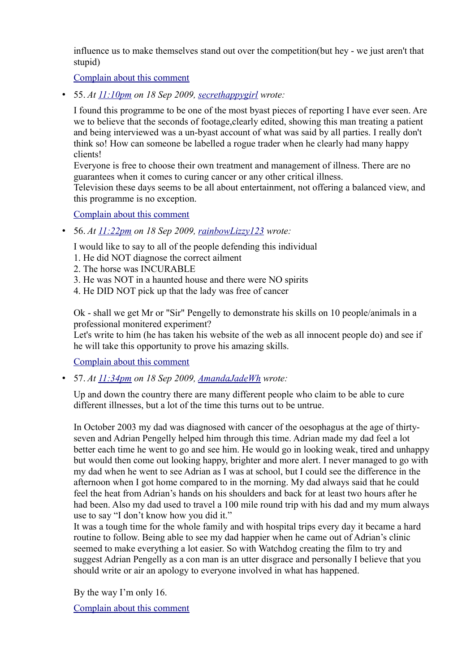influence us to make themselves stand out over the competition(but hey - we just aren't that stupid)

[Complain about this comment](https://web.archive.org/web/20120418105018/http://www.bbc.co.uk/dna/blog191/comments/UserComplaintPage?PostID=85935122&s_start=1)

• 55. *At [11:10pm](https://web.archive.org/web/20120418105018/http://www.bbc.co.uk/blogs/watchdog/2009/09/adrian_pengellys_healing_hands.html#P85936082) on 18 Sep 2009, [secrethappygirl](https://web.archive.org/web/20120418105018/http://www.bbc.co.uk/blogs/profile?userid=14140890) wrote:*

I found this programme to be one of the most byast pieces of reporting I have ever seen. Are we to believe that the seconds of footage,clearly edited, showing this man treating a patient and being interviewed was a un-byast account of what was said by all parties. I really don't think so! How can someone be labelled a rogue trader when he clearly had many happy clients!

Everyone is free to choose their own treatment and management of illness. There are no guarantees when it comes to curing cancer or any other critical illness.

Television these days seems to be all about entertainment, not offering a balanced view, and this programme is no exception.

[Complain about this comment](https://web.archive.org/web/20120418105018/http://www.bbc.co.uk/dna/blog191/comments/UserComplaintPage?PostID=85936082&s_start=1)

• 56. *At [11:22pm](https://web.archive.org/web/20120418105018/http://www.bbc.co.uk/blogs/watchdog/2009/09/adrian_pengellys_healing_hands.html#P85936271) on 18 Sep 2009, [rainbowLizzy123](https://web.archive.org/web/20120418105018/http://www.bbc.co.uk/blogs/profile?userid=14140947) wrote:*

I would like to say to all of the people defending this individual

- 1. He did NOT diagnose the correct ailment
- 2. The horse was INCURABLE
- 3. He was NOT in a haunted house and there were NO spirits
- 4. He DID NOT pick up that the lady was free of cancer

Ok - shall we get Mr or "Sir" Pengelly to demonstrate his skills on 10 people/animals in a professional monitered experiment?

Let's write to him (he has taken his website of the web as all innocent people do) and see if he will take this opportunity to prove his amazing skills.

[Complain about this comment](https://web.archive.org/web/20120418105018/http://www.bbc.co.uk/dna/blog191/comments/UserComplaintPage?PostID=85936271&s_start=1)

• 57. *At [11:34pm](https://web.archive.org/web/20120418105018/http://www.bbc.co.uk/blogs/watchdog/2009/09/adrian_pengellys_healing_hands.html#P85936417) on 18 Sep 2009, [AmandaJadeWh](https://web.archive.org/web/20120418105018/http://www.bbc.co.uk/blogs/profile?userid=14140963) wrote:*

Up and down the country there are many different people who claim to be able to cure different illnesses, but a lot of the time this turns out to be untrue.

In October 2003 my dad was diagnosed with cancer of the oesophagus at the age of thirtyseven and Adrian Pengelly helped him through this time. Adrian made my dad feel a lot better each time he went to go and see him. He would go in looking weak, tired and unhappy but would then come out looking happy, brighter and more alert. I never managed to go with my dad when he went to see Adrian as I was at school, but I could see the difference in the afternoon when I got home compared to in the morning. My dad always said that he could feel the heat from Adrian's hands on his shoulders and back for at least two hours after he had been. Also my dad used to travel a 100 mile round trip with his dad and my mum always use to say "I don't know how you did it."

It was a tough time for the whole family and with hospital trips every day it became a hard routine to follow. Being able to see my dad happier when he came out of Adrian's clinic seemed to make everything a lot easier. So with Watchdog creating the film to try and suggest Adrian Pengelly as a con man is an utter disgrace and personally I believe that you should write or air an apology to everyone involved in what has happened.

By the way I'm only 16.

[Complain about this comment](https://web.archive.org/web/20120418105018/http://www.bbc.co.uk/dna/blog191/comments/UserComplaintPage?PostID=85936417&s_start=1)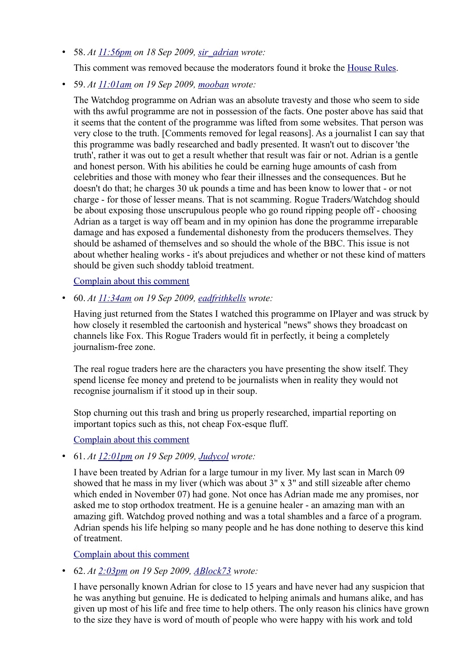• 58. *At [11:56pm](https://web.archive.org/web/20120418105018/http://www.bbc.co.uk/blogs/watchdog/2009/09/adrian_pengellys_healing_hands.html#P85936688) on 18 Sep 2009, [sir\\_adrian](https://web.archive.org/web/20120418105018/http://www.bbc.co.uk/blogs/profile?userid=14140965) wrote:*

This comment was removed because the moderators found it broke the [House Rules.](https://web.archive.org/web/20120418105018/http://www.bbc.co.uk/messageboards/newguide/popup_house_rules.html)

• 59. *At [11:01am](https://web.archive.org/web/20120418105018/http://www.bbc.co.uk/blogs/watchdog/2009/09/adrian_pengellys_healing_hands.html#P85940604) on 19 Sep 2009, [mooban](https://web.archive.org/web/20120418105018/http://www.bbc.co.uk/blogs/profile?userid=14141283) wrote:*

The Watchdog programme on Adrian was an absolute travesty and those who seem to side with ths awful programme are not in possession of the facts. One poster above has said that it seems that the content of the programme was lifted from some websites. That person was very close to the truth. [Comments removed for legal reasons]. As a journalist I can say that this programme was badly researched and badly presented. It wasn't out to discover 'the truth', rather it was out to get a result whether that result was fair or not. Adrian is a gentle and honest person. With his abilities he could be earning huge amounts of cash from celebrities and those with money who fear their illnesses and the consequences. But he doesn't do that; he charges 30 uk pounds a time and has been know to lower that - or not charge - for those of lesser means. That is not scamming. Rogue Traders/Watchdog should be about exposing those unscrupulous people who go round ripping people off - choosing Adrian as a target is way off beam and in my opinion has done the programme irreparable damage and has exposed a fundemental dishonesty from the producers themselves. They should be ashamed of themselves and so should the whole of the BBC. This issue is not about whether healing works - it's about prejudices and whether or not these kind of matters should be given such shoddy tabloid treatment.

[Complain about this comment](https://web.archive.org/web/20120418105018/http://www.bbc.co.uk/dna/blog191/comments/UserComplaintPage?PostID=85940604&s_start=1)

• 60. *At [11:34am](https://web.archive.org/web/20120418105018/http://www.bbc.co.uk/blogs/watchdog/2009/09/adrian_pengellys_healing_hands.html#P85941612) on 19 Sep 2009, [eadfrithkells](https://web.archive.org/web/20120418105018/http://www.bbc.co.uk/blogs/profile?userid=14141316) wrote:*

Having just returned from the States I watched this programme on IPlayer and was struck by how closely it resembled the cartoonish and hysterical "news" shows they broadcast on channels like Fox. This Rogue Traders would fit in perfectly, it being a completely journalism-free zone.

The real rogue traders here are the characters you have presenting the show itself. They spend license fee money and pretend to be journalists when in reality they would not recognise journalism if it stood up in their soup.

Stop churning out this trash and bring us properly researched, impartial reporting on important topics such as this, not cheap Fox-esque fluff.

#### [Complain about this comment](https://web.archive.org/web/20120418105018/http://www.bbc.co.uk/dna/blog191/comments/UserComplaintPage?PostID=85941612&s_start=1)

• 61. *At [12:01pm](https://web.archive.org/web/20120418105018/http://www.bbc.co.uk/blogs/watchdog/2009/09/adrian_pengellys_healing_hands.html#P85942498) on 19 Sep 2009, [Judycol](https://web.archive.org/web/20120418105018/http://www.bbc.co.uk/blogs/profile?userid=14141366) wrote:*

I have been treated by Adrian for a large tumour in my liver. My last scan in March 09 showed that he mass in my liver (which was about 3" x 3" and still sizeable after chemo which ended in November 07) had gone. Not once has Adrian made me any promises, nor asked me to stop orthodox treatment. He is a genuine healer - an amazing man with an amazing gift. Watchdog proved nothing and was a total shambles and a farce of a program. Adrian spends his life helping so many people and he has done nothing to deserve this kind of treatment.

[Complain about this comment](https://web.archive.org/web/20120418105018/http://www.bbc.co.uk/dna/blog191/comments/UserComplaintPage?PostID=85942498&s_start=1)

• 62. *At [2:03pm](https://web.archive.org/web/20120418105018/http://www.bbc.co.uk/blogs/watchdog/2009/09/adrian_pengellys_healing_hands.html#P85946751) on 19 Sep 2009, [ABlock73](https://web.archive.org/web/20120418105018/http://www.bbc.co.uk/blogs/profile?userid=14141533) wrote:*

I have personally known Adrian for close to 15 years and have never had any suspicion that he was anything but genuine. He is dedicated to helping animals and humans alike, and has given up most of his life and free time to help others. The only reason his clinics have grown to the size they have is word of mouth of people who were happy with his work and told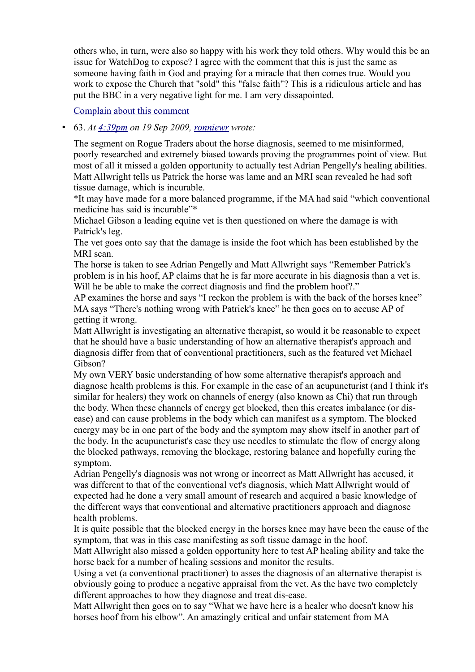others who, in turn, were also so happy with his work they told others. Why would this be an issue for WatchDog to expose? I agree with the comment that this is just the same as someone having faith in God and praying for a miracle that then comes true. Would you work to expose the Church that "sold" this "false faith"? This is a ridiculous article and has put the BBC in a very negative light for me. I am very dissapointed.

#### [Complain about this comment](https://web.archive.org/web/20120418105018/http://www.bbc.co.uk/dna/blog191/comments/UserComplaintPage?PostID=85946751&s_start=1)

#### • 63. *At [4:39pm](https://web.archive.org/web/20120418105018/http://www.bbc.co.uk/blogs/watchdog/2009/09/adrian_pengellys_healing_hands.html#P85953379) on 19 Sep 2009, [ronniewr](https://web.archive.org/web/20120418105018/http://www.bbc.co.uk/blogs/profile?userid=14140019) wrote:*

The segment on Rogue Traders about the horse diagnosis, seemed to me misinformed, poorly researched and extremely biased towards proving the programmes point of view. But most of all it missed a golden opportunity to actually test Adrian Pengelly's healing abilities. Matt Allwright tells us Patrick the horse was lame and an MRI scan revealed he had soft tissue damage, which is incurable.

\*It may have made for a more balanced programme, if the MA had said "which conventional medicine has said is incurable"\*

Michael Gibson a leading equine vet is then questioned on where the damage is with Patrick's leg.

The vet goes onto say that the damage is inside the foot which has been established by the MRI scan.

The horse is taken to see Adrian Pengelly and Matt Allwright says "Remember Patrick's problem is in his hoof, AP claims that he is far more accurate in his diagnosis than a vet is. Will he be able to make the correct diagnosis and find the problem hoof?."

AP examines the horse and says "I reckon the problem is with the back of the horses knee" MA says "There's nothing wrong with Patrick's knee" he then goes on to accuse AP of getting it wrong.

Matt Allwright is investigating an alternative therapist, so would it be reasonable to expect that he should have a basic understanding of how an alternative therapist's approach and diagnosis differ from that of conventional practitioners, such as the featured vet Michael Gibson?

My own VERY basic understanding of how some alternative therapist's approach and diagnose health problems is this. For example in the case of an acupuncturist (and I think it's similar for healers) they work on channels of energy (also known as Chi) that run through the body. When these channels of energy get blocked, then this creates imbalance (or disease) and can cause problems in the body which can manifest as a symptom. The blocked energy may be in one part of the body and the symptom may show itself in another part of the body. In the acupuncturist's case they use needles to stimulate the flow of energy along the blocked pathways, removing the blockage, restoring balance and hopefully curing the symptom.

Adrian Pengelly's diagnosis was not wrong or incorrect as Matt Allwright has accused, it was different to that of the conventional vet's diagnosis, which Matt Allwright would of expected had he done a very small amount of research and acquired a basic knowledge of the different ways that conventional and alternative practitioners approach and diagnose health problems.

It is quite possible that the blocked energy in the horses knee may have been the cause of the symptom, that was in this case manifesting as soft tissue damage in the hoof.

Matt Allwright also missed a golden opportunity here to test AP healing ability and take the horse back for a number of healing sessions and monitor the results.

Using a vet (a conventional practitioner) to asses the diagnosis of an alternative therapist is obviously going to produce a negative appraisal from the vet. As the have two completely different approaches to how they diagnose and treat dis-ease.

Matt Allwright then goes on to say "What we have here is a healer who doesn't know his horses hoof from his elbow". An amazingly critical and unfair statement from MA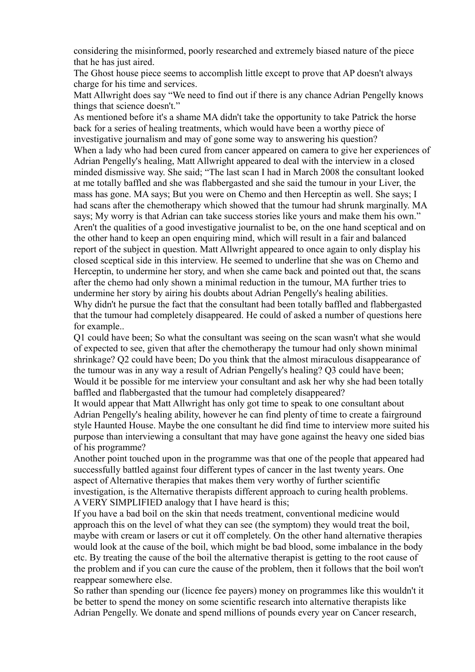considering the misinformed, poorly researched and extremely biased nature of the piece that he has just aired.

The Ghost house piece seems to accomplish little except to prove that AP doesn't always charge for his time and services.

Matt Allwright does say "We need to find out if there is any chance Adrian Pengelly knows things that science doesn't."

As mentioned before it's a shame MA didn't take the opportunity to take Patrick the horse back for a series of healing treatments, which would have been a worthy piece of investigative journalism and may of gone some way to answering his question? When a lady who had been cured from cancer appeared on camera to give her experiences of Adrian Pengelly's healing, Matt Allwright appeared to deal with the interview in a closed minded dismissive way. She said; "The last scan I had in March 2008 the consultant looked at me totally baffled and she was flabbergasted and she said the tumour in your Liver, the mass has gone. MA says; But you were on Chemo and then Herceptin as well. She says; I had scans after the chemotherapy which showed that the tumour had shrunk marginally. MA says; My worry is that Adrian can take success stories like yours and make them his own." Aren't the qualities of a good investigative journalist to be, on the one hand sceptical and on the other hand to keep an open enquiring mind, which will result in a fair and balanced report of the subject in question. Matt Allwright appeared to once again to only display his closed sceptical side in this interview. He seemed to underline that she was on Chemo and Herceptin, to undermine her story, and when she came back and pointed out that, the scans after the chemo had only shown a minimal reduction in the tumour, MA further tries to undermine her story by airing his doubts about Adrian Pengelly's healing abilities. Why didn't he pursue the fact that the consultant had been totally baffled and flabbergasted that the tumour had completely disappeared. He could of asked a number of questions here for example..

Q1 could have been; So what the consultant was seeing on the scan wasn't what she would of expected to see, given that after the chemotherapy the tumour had only shown minimal shrinkage? Q2 could have been; Do you think that the almost miraculous disappearance of the tumour was in any way a result of Adrian Pengelly's healing? Q3 could have been; Would it be possible for me interview your consultant and ask her why she had been totally baffled and flabbergasted that the tumour had completely disappeared?

It would appear that Matt Allwright has only got time to speak to one consultant about Adrian Pengelly's healing ability, however he can find plenty of time to create a fairground style Haunted House. Maybe the one consultant he did find time to interview more suited his purpose than interviewing a consultant that may have gone against the heavy one sided bias of his programme?

Another point touched upon in the programme was that one of the people that appeared had successfully battled against four different types of cancer in the last twenty years. One aspect of Alternative therapies that makes them very worthy of further scientific investigation, is the Alternative therapists different approach to curing health problems. A VERY SIMPLIFIED analogy that I have heard is this;

If you have a bad boil on the skin that needs treatment, conventional medicine would approach this on the level of what they can see (the symptom) they would treat the boil, maybe with cream or lasers or cut it off completely. On the other hand alternative therapies would look at the cause of the boil, which might be bad blood, some imbalance in the body etc. By treating the cause of the boil the alternative therapist is getting to the root cause of the problem and if you can cure the cause of the problem, then it follows that the boil won't reappear somewhere else.

So rather than spending our (licence fee payers) money on programmes like this wouldn't it be better to spend the money on some scientific research into alternative therapists like Adrian Pengelly. We donate and spend millions of pounds every year on Cancer research,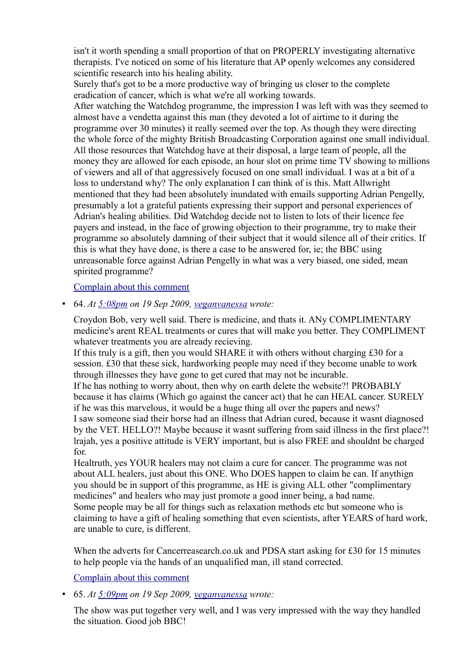isn't it worth spending a small proportion of that on PROPERLY investigating alternative therapists. I've noticed on some of his literature that AP openly welcomes any considered scientific research into his healing ability.

Surely that's got to be a more productive way of bringing us closer to the complete eradication of cancer, which is what we're all working towards.

After watching the Watchdog programme, the impression I was left with was they seemed to almost have a vendetta against this man (they devoted a lot of airtime to it during the programme over 30 minutes) it really seemed over the top. As though they were directing the whole force of the mighty British Broadcasting Corporation against one small individual. All those resources that Watchdog have at their disposal, a large team of people, all the money they are allowed for each episode, an hour slot on prime time TV showing to millions of viewers and all of that aggressively focused on one small individual. I was at a bit of a loss to understand why? The only explanation I can think of is this. Matt Allwright mentioned that they had been absolutely inundated with emails supporting Adrian Pengelly, presumably a lot a grateful patients expressing their support and personal experiences of Adrian's healing abilities. Did Watchdog decide not to listen to lots of their licence fee payers and instead, in the face of growing objection to their programme, try to make their programme so absolutely damning of their subject that it would silence all of their critics. If this is what they have done, is there a case to be answered for, ie; the BBC using unreasonable force against Adrian Pengelly in what was a very biased, one sided, mean spirited programme?

#### [Complain about this comment](https://web.archive.org/web/20120418105018/http://www.bbc.co.uk/dna/blog191/comments/UserComplaintPage?PostID=85953379&s_start=1)

• 64. *At [5:08pm](https://web.archive.org/web/20120418105018/http://www.bbc.co.uk/blogs/watchdog/2009/09/adrian_pengellys_healing_hands.html#P85954759) on 19 Sep 2009, [veganvanessa](https://web.archive.org/web/20120418105018/http://www.bbc.co.uk/blogs/profile?userid=14141816) wrote:*

Croydon Bob, very well said. There is medicine, and thats it. ANy COMPLIMENTARY medicine's arent REAL treatments or cures that will make you better. They COMPLIMENT whatever treatments you are already recieving.

If this truly is a gift, then you would SHARE it with others without charging £30 for a session. £30 that these sick, hardworking people may need if they become unable to work through illnesses they have gone to get cured that may not be incurable. If he has nothing to worry about, then why on earth delete the website?! PROBABLY because it has claims (Which go against the cancer act) that he can HEAL cancer. SURELY if he was this marvelous, it would be a huge thing all over the papers and news? I saw someone siad their horse had an illness that Adrian cured, because it wasnt diagnosed by the VET. HELLO?! Maybe because it wasnt suffering from said illness in the first place?! lrajah, yes a positive attitude is VERY important, but is also FREE and shouldnt be charged for.

Healtruth, yes YOUR healers may not claim a cure for cancer. The programme was not about ALL healers, just about this ONE. Who DOES happen to claim he can. If anythign you should be in support of this programme, as HE is giving ALL other "complimentary medicines" and healers who may just promote a good inner being, a bad name. Some people may be all for things such as relaxation methods etc but someone who is claiming to have a gift of healing something that even scientists, after YEARS of hard work, are unable to cure, is different.

When the adverts for Cancerreasearch.co.uk and PDSA start asking for £30 for 15 minutes to help people via the hands of an unqualified man, ill stand corrected.

[Complain about this comment](https://web.archive.org/web/20120418105018/http://www.bbc.co.uk/dna/blog191/comments/UserComplaintPage?PostID=85954759&s_start=1)

• 65. *At [5:09pm](https://web.archive.org/web/20120418105018/http://www.bbc.co.uk/blogs/watchdog/2009/09/adrian_pengellys_healing_hands.html#P85954790) on 19 Sep 2009, [veganvanessa](https://web.archive.org/web/20120418105018/http://www.bbc.co.uk/blogs/profile?userid=14141816) wrote:*

The show was put together very well, and I was very impressed with the way they handled the situation. Good job BBC!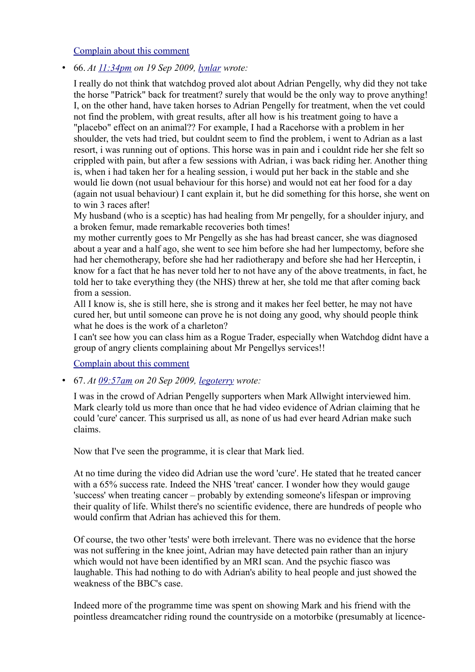[Complain about this comment](https://web.archive.org/web/20120418105018/http://www.bbc.co.uk/dna/blog191/comments/UserComplaintPage?PostID=85954790&s_start=1)

• 66. *At [11:34pm](https://web.archive.org/web/20120418105018/http://www.bbc.co.uk/blogs/watchdog/2009/09/adrian_pengellys_healing_hands.html#P85971219) on 19 Sep 2009, [lynlar](https://web.archive.org/web/20120418105018/http://www.bbc.co.uk/blogs/profile?userid=14142463) wrote:*

I really do not think that watchdog proved alot about Adrian Pengelly, why did they not take the horse "Patrick" back for treatment? surely that would be the only way to prove anything! I, on the other hand, have taken horses to Adrian Pengelly for treatment, when the vet could not find the problem, with great results, after all how is his treatment going to have a "placebo" effect on an animal?? For example, I had a Racehorse with a problem in her shoulder, the vets had tried, but couldnt seem to find the problem, i went to Adrian as a last resort, i was running out of options. This horse was in pain and i couldnt ride her she felt so crippled with pain, but after a few sessions with Adrian, i was back riding her. Another thing is, when i had taken her for a healing session, i would put her back in the stable and she would lie down (not usual behaviour for this horse) and would not eat her food for a day (again not usual behaviour) I cant explain it, but he did something for this horse, she went on to win 3 races after!

My husband (who is a sceptic) has had healing from Mr pengelly, for a shoulder injury, and a broken femur, made remarkable recoveries both times!

my mother currently goes to Mr Pengelly as she has had breast cancer, she was diagnosed about a year and a half ago, she went to see him before she had her lumpectomy, before she had her chemotherapy, before she had her radiotherapy and before she had her Herceptin, i know for a fact that he has never told her to not have any of the above treatments, in fact, he told her to take everything they (the NHS) threw at her, she told me that after coming back from a session.

All I know is, she is still here, she is strong and it makes her feel better, he may not have cured her, but until someone can prove he is not doing any good, why should people think what he does is the work of a charleton?

I can't see how you can class him as a Rogue Trader, especially when Watchdog didnt have a group of angry clients complaining about Mr Pengellys services!!

[Complain about this comment](https://web.archive.org/web/20120418105018/http://www.bbc.co.uk/dna/blog191/comments/UserComplaintPage?PostID=85971219&s_start=1)

• 67. *At [09:57am](https://web.archive.org/web/20120418105018/http://www.bbc.co.uk/blogs/watchdog/2009/09/adrian_pengellys_healing_hands.html#P85973742) on 20 Sep 2009, [legoterry](https://web.archive.org/web/20120418105018/http://www.bbc.co.uk/blogs/profile?userid=14142741) wrote:*

I was in the crowd of Adrian Pengelly supporters when Mark Allwight interviewed him. Mark clearly told us more than once that he had video evidence of Adrian claiming that he could 'cure' cancer. This surprised us all, as none of us had ever heard Adrian make such claims.

Now that I've seen the programme, it is clear that Mark lied.

At no time during the video did Adrian use the word 'cure'. He stated that he treated cancer with a 65% success rate. Indeed the NHS 'treat' cancer. I wonder how they would gauge 'success' when treating cancer – probably by extending someone's lifespan or improving their quality of life. Whilst there's no scientific evidence, there are hundreds of people who would confirm that Adrian has achieved this for them.

Of course, the two other 'tests' were both irrelevant. There was no evidence that the horse was not suffering in the knee joint, Adrian may have detected pain rather than an injury which would not have been identified by an MRI scan. And the psychic fiasco was laughable. This had nothing to do with Adrian's ability to heal people and just showed the weakness of the BBC's case.

Indeed more of the programme time was spent on showing Mark and his friend with the pointless dreamcatcher riding round the countryside on a motorbike (presumably at licence